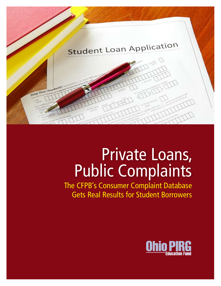

# Private Loans, Public Complaints

The CFPB's Consumer Complaint Database Gets Real Results for Student Borrowers

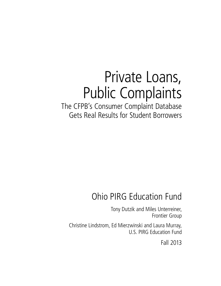# Private Loans, Public Complaints

The CFPB's Consumer Complaint Database Gets Real Results for Student Borrowers

## Ohio PIRG Education Fund

Tony Dutzik and Miles Unterreiner, Frontier Group

Christine Lindstrom, Ed Mierzwinski and Laura Murray, U.S. PIRG Education Fund

Fall 2013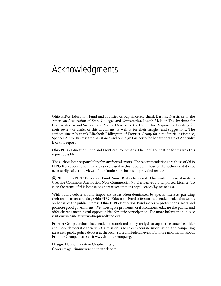## Acknowledgments

Ohio PIRG Education Fund and Frontier Group sincerely thank Barmak Nassirian of the American Association of State Colleges and Universities, Joseph Mais of The Institute for College Access and Success, and Maura Dundon of the Center for Responsible Lending for their review of drafts of this document, as well as for their insights and suggestions. The authors sincerely thank Elizabeth Ridlington of Frontier Group for her editorial assistance, Spencer Alt for his research assistance and Ashleigh Giliberto for her authorship of Appendix B of this report.

Ohio PIRG Education Fund and Frontier Group thank The Ford Foundation for making this report possible.

The authors bear responsibility for any factual errors. The recommendations are those of Ohio PIRG Education Fund. The views expressed in this report are those of the authors and do not necessarily reflect the views of our funders or those who provided review.

 2013 Ohio PIRG Education Fund. Some Rights Reserved. This work is licensed under a Creative Commons Attribution Non-Commercial No Derivatives 3.0 Unported License. To view the terms of this license, visit creativecommons.org/licenses/by-nc-nd/3.0.

With public debate around important issues often dominated by special interests pursuing their own narrow agendas, Ohio PIRG Education Fund offers an independent voice that works on behalf of the public interest. Ohio PIRG Education Fund works to protect consumers and promote good government. We investigate problems, craft solutions, educate the public, and offer citizens meaningful opportunities for civic participation. For more information, please visit our website at www.ohiopirgedfund.org.

Frontier Group conducts independent research and policy analysis to support a cleaner, healthier and more democratic society. Our mission is to inject accurate information and compelling ideas into public policy debates at the local, state and federal levels. For more information about Frontier Group, please visit www.frontiergroup.org.

Design: Harriet Eckstein Graphic Design Cover image: zimmytws/shutterstock.com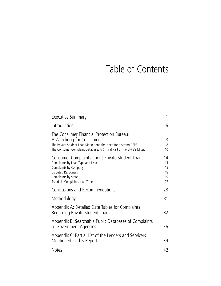## Table of Contents

| <b>Executive Summary</b>                                                                                                                                                                                          | 1                                |
|-------------------------------------------------------------------------------------------------------------------------------------------------------------------------------------------------------------------|----------------------------------|
| Introduction                                                                                                                                                                                                      | 6                                |
| The Consumer Financial Protection Bureau:<br>A Watchdog for Consumers<br>The Private Student Loan Market and the Need for a Strong CFPB<br>The Consumer Complaint Database: A Critical Part of the CFPB's Mission | 8<br>8<br>10                     |
| Consumer Complaints about Private Student Loans<br>Complaints by Loan Type and Issue<br>Complaints by Company<br>Disputed Responses<br>Complaints by State<br>Trends in Complaints over Time                      | 14<br>14<br>15<br>18<br>19<br>27 |
| Conclusions and Recommendations                                                                                                                                                                                   | 28                               |
| Methodology                                                                                                                                                                                                       | 31                               |
| Appendix A: Detailed Data Tables for Complaints<br>Regarding Private Student Loans                                                                                                                                | 32                               |
| Appendix B: Searchable Public Databases of Complaints<br>to Government Agencies                                                                                                                                   | 36                               |
| Appendix C: Partial List of the Lenders and Servicers<br>Mentioned in This Report                                                                                                                                 | 39                               |
| <b>Notes</b>                                                                                                                                                                                                      | 42                               |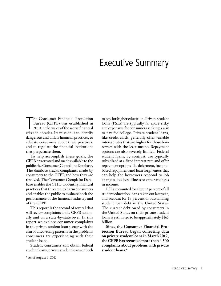### Executive Summary

The Consumer Financial Protection<br>Bureau (CFPB) was established in<br>2010 in the wake of the worst financial<br>crisis in decades. Its mission is to identify he Consumer Financial Protection Bureau (CFPB) was established in 2010 in the wake of the worst financial dangerous and unfair financial practices, to educate consumers about these practices, and to regulate the financial institutions that perpetuate them.

To help accomplish these goals, the CFPB has created and made available to the public the Consumer Complaint Database. The database tracks complaints made by consumers to the CFPB and how they are resolved. The Consumer Complaint Database enables the CFPB to identify financial practices that threaten to harm consumers and enables the public to evaluate both the performance of the financial industry and of the CFPB.

This report is the second of several that will review complaints to the CFPB nationally and on a state-by-state level. In this report we explore consumer complaints in the private student loan sector with the aim of uncovering patterns in the problems consumers are experiencing with their student loans.

Student consumers can obtain federal student loans, private student loans or both

to pay for higher education. Private student loans (PSLs) are typically far more risky and expensive for consumers seeking a way to pay for college. Private student loans, like credit cards, generally offer variable interest rates that are higher for those borrowers with the least means. Repayment options are also severely limited. Federal student loans, by contrast, are typically subsidized at a fixed interest rate and offer repayment options like deferment, incomebased repayment and loan forgiveness that can help the borrowers respond to job changes, job loss, illness or other changes in income.

PSLs accounted for about 7 percent of all student education loans taken out last year, and account for 15 percent of outstanding student loan debt in the United States. The current debt owed by consumers in the United States on their private student loans is estimated to be approximately \$165 billion.

**Since the Consumer Financial Protection Bureau began collecting data on private student loans in March 2012, the CFPB has recorded more than 4,300 complaints about problems with private student loans.\***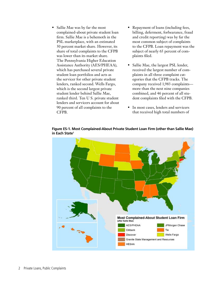- Sallie Mae was by far the most complained-about private student loan firm. Sallie Mae is a behemoth in the PSL marketplace, with an estimated 50 percent market share. However, its share of total complaints to the CFPB was lower than its market share. The Pennsylvania Higher Education Assistance Authority (AES/PHEAA), which has purchased several private student loan portfolios and acts as the servicer for other private student lenders, ranked second. Wells Fargo, which is the second largest private student lender behind Sallie Mae, ranked third. Ten U S. private student lenders and servicers account for about 90 percent of all complaints to the CFPB.
- Repayment of loans (including fees, billing, deferment, forbearance, fraud and credit reporting) was by far the most common subject of complaints to the CFPB. Loan repayment was the subject of nearly 65 percent of complaints filed.
- Sallie Mae, the largest PSL lender, received the largest number of complaints in all three complaint categories that the CFPB tracks. The company received 1,983 complaints more than the next nine companies combined, and 46 percent of all student complaints filed with the CFPB.
- In most cases, lenders and servicers that received high total numbers of



**Figure ES-1. Most Complained-About Private Student Loan Firm (other than Sallie Mae) in Each State1**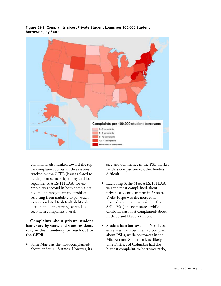

#### **Figure ES-2. Complaints about Private Student Loans per 100,000 Student Borrowers, by State**

complaints also ranked toward the top for complaints across all three issues tracked by the CFPB (issues related to getting loans, inability to pay and loan repayment). AES/PHEAA, for example, was second in both complaints about loan repayment and problems resulting from inability to pay (such as issues related to default, debt collection and bankruptcy), as well as second in complaints overall.

**Complaints about private student loans vary by state, and state residents vary in their tendency to reach out to the CFPB.**

• Sallie Mae was the most complainedabout lender in 48 states. However, its size and dominance in the PSL market renders comparison to other lenders difficult.

- Excluding Sallie Mae, AES/PHEAA was the most complained-about private student loan firm in 28 states. Wells Fargo was the most complained-about company (other than Sallie Mae) in seven states, while Citibank was most complained-about in three and Discover in one.
- Student loan borrowers in Northeastern states are most likely to complain about PSLs, while borrowers in the Midwest and South are least likely. The District of Columbia had the highest complaint-to-borrower ratio,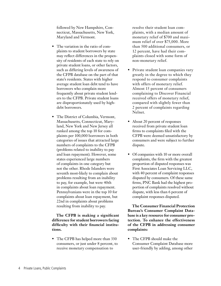followed by New Hampshire, Connecticut, Massachusetts, New York, Maryland and Vermont.

- The variation in the ratio of complaints to student borrowers by state may reflect differences in the propensity of residents of each state to rely on private student loans, or other factors, such as differing levels of awareness of the CFPB database on the part of that state's residents. States with higher average student loan debt tend to have borrowers who complain more frequently about private student lenders to the CFPB. Private student loans are disproportionately used by highdebt borrowers.
- The District of Columbia, Vermont, Massachusetts, Connecticut, Maryland, New York and New Jersey all ranked among the top 10 for complaints per 100,000 borrowers in both categories of issues that attracted large numbers of complaints to the CFPB (problems related to inability to pay and loan repayment). However, some states experienced large numbers of complaints in one category but not the other. Rhode Islanders were seventh most-likely to complain about problems resulting from an inability to pay, for example, but were 40th in complaints about loan repayment. Pennsylvanians were in the top 10 for complaints about loan repayment, but 22nd in complaints about problems resulting from inability to pay.

**The CFPB is making a significant difference for student borrowers facing difficulty with their financial institutions.** 

• The CFPB has helped more than 330 consumers, or just under 8 percent, to receive monetary compensation to

resolve their student loan complaints, with a median amount of monetary relief of \$700 and maximum relief of over \$75,000. More than 500 additional consumers, or 12 percent, have had their complaints closed with some form of non-monetary relief.

- Private student loan companies vary greatly in the degree to which they respond to consumer complaints with offers of monetary relief. Almost 15 percent of consumers complaining to Discover Financial received offers of monetary relief, compared with slightly fewer than 2 percent of complaints regarding Nelnet.
- About 20 percent of responses received from private student loan firms to complaints filed with the CFPB were deemed unsatisfactory by consumers and were subject to further dispute.
- Of companies with 10 or more overall complaints, the firm with the greatest proportion of disputed responses was First Associates Loan Servicing LLC, with 40 percent of complaint responses disputed by consumers. Of these same firms, PNC Bank had the highest proportion of complaints resolved without dispute, with less than 6 percent of complaint responses disputed.

**The Consumer Financial Protection Bureau's Consumer Complaint Database is a key resource for consumer protection. To enhance the effectiveness of the CFPB in addressing consumer complaints:**

• The CFPB should make the Consumer Complaint Database more user-friendly by adding, among other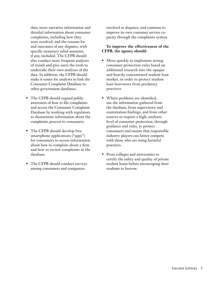data, more narrative information and detailed information about consumer complaints, including how they were resolved, and the reasons for and outcomes of any disputes, with specific monetary relief amounts, if any, included. The CFPB should also conduct more frequent analyses of trends and give users the tools to undertake their own analyses of the data. In addition, the CFPB should make it easier for analysts to link the Consumer Complaint Database to other government databases.

- The CFPB should expand public awareness of how to file complaints and access the Consumer Complaint Database by working with regulators to disseminate information about the complaints process to consumers.
- The CFPB should develop free smartphone applications ("apps") for consumers to access information about how to complain about a firm and how to review complaints in the database.
- The CFPB should conduct surveys among consumers and companies

involved in disputes, and continue to improve its own customer service capacity through the complaints system.

#### **To improve the effectiveness of the CFPB, the agency should:**

- Move quickly to implement strong consumer protection rules based on additional research into the opaque and heavily concentrated student loan market, in order to protect student loan borrowers from predatory practices.
- Where problems are identified, use the information gathered from the database, from supervisory and examination findings, and from other sources to require a high, uniform level of consumer protection, through guidance and rules, to protect consumers and ensure that responsible industry players can better compete with those who are using harmful practices.
- Press colleges and universities to certify the safety and quality of private student loans before encouraging their students to borrow.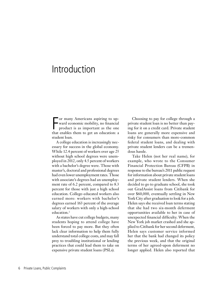## Introduction

F<br>that or many Americans aspiring to upward economic mobility, no financial product is as important as the one that enables them to get an education: a student loan.

A college education is increasingly necessary for success in the global economy. While 12.4 percent of workers over age 25 without high school degrees were unemployed in 2012, only 4.5 percent of workers with a bachelor's degree were. Those with master's, doctoral and professional degrees had even lower unemployment rates. Those with associate's degrees had an unemployment rate of 6.2 percent, compared to 8.3 percent for those with just a high school education. College-educated workers also earned more: workers with bachelor's degrees earned 163 percent of the average salary of workers with only a high-school education.<sup>2</sup>

As states have cut college budgets, many students hoping to attend college have been forced to pay more. But they often lack clear information to help them fully understand total college costs, and may fall prey to troubling institutional or lending practices that could lead them to take on expensive private student loans (PSLs).

Choosing to pay for college through a private student loan is no better than paying for it on a credit card. Private student loans are generally more expensive and risky for consumers than more-common federal student loans, and dealing with private student lenders can be a tremendous hassle.

Take Helen (not her real name), for example, who wrote to the Consumer Financial Protection Bureau (CFPB) in response to the bureau's 2011 public request for information about private student loans and private student lenders. When she decided to go to graduate school, she took out GradAssist loans from Citibank for over \$60,000, eventually settling in New York City after graduation to look for a job. Helen says she received loan terms stating that she had two six-month deferment opportunities available to her in case of unexpected financial difficulty. When the New York job market crashed and she applied to Citibank for her second deferment, Helen says customer service informed her that the bank had changed its policy the previous week, and that the original terms of her agreed-upon deferment no longer applied. Helen also reported that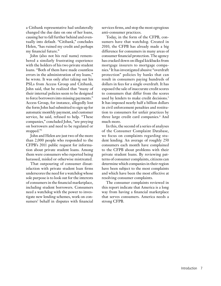a Citibank representative had unilaterally changed the due date on one of her loans, causing her to fall further behind and eventually into default. "Citibank," concludes Helen, "has ruined my credit and perhaps my financial future."

John (also not his real name) remembered a similarly frustrating experience with the holders of his two private student loans. "Both of them have made countless errors in the administration of my loans," he wrote. It was only after taking out his PSLs from Access Group and Citibank, John said, that he realized that "many of their internal policies seem to be designed to force borrowers into missing payments." Access Group, for instance, allegedly lost the form John had submitted to sign up for automatic monthly payment, and customer service, he said, refused to help. "These companies," concluded John, "are preying on borrowers and need to be regulated or stopped."3

John and Helen are just two of the more than 2,000 people who responded to the CFPB's 2011 public request for information about private student loans. Among them were consumers who reported being harassed, misled or otherwise mistreated.

That outpouring of consumer dissatisfaction with private student loan firms underscores the need for a watchdog whose sole purpose is to look out for the interests of consumers in the financial marketplace, including student borrowers. Consumers need a watchdog with the power to investigate new lending schemes, work on consumers' behalf in disputes with financial services firms, and stop the most egregious anti-consumer practices.

Today, in the form of the CFPB, consumers have that watchdog. Created in 2010, the CFPB has already made a big difference for consumers in many areas of consumer financial protection. The agency has cracked down on illegal kickbacks from mortgage insurers to mortgage companies.4 It has investigated abusive "overdraft protection" policies by banks that can result in consumers paying hundreds of dollars in fees for a single overdraft. It has exposed the sale of inaccurate credit scores to consumers that differ from the scores used by lenders to make credit decisions.<sup>5</sup> It has imposed nearly half a billion dollars in civil enforcement penalties and restitution to consumers for unfair practices by three large credit card companies.<sup>6</sup> And much more.

In this, the second of a series of analyses of the Consumer Complaint Database, we focus on complaints regarding student lending. An average of roughly 250 consumers each month have complained to the CFPB about problems with their private student loans. By reviewing patterns of consumer complaints, citizens can determine which companies in their region have been subject to the most complaints and which have been the most effective at resolving consumer complaints.

The consumer complaints reviewed in this report indicate that America is a long way from having a financial marketplace that serves consumers. America needs a strong CFPB.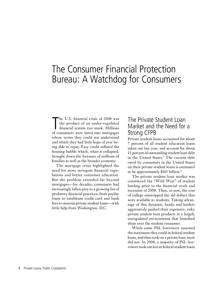## The Consumer Financial Protection Bureau: A Watchdog for Consumers

The U.S. financial crisis of 2008 was<br>the product of an under-regulated<br>financial system run amok. Millions<br>of consumers were lured into mortgages he U.S. financial crisis of 2008 was the product of an under-regulated financial system run amok. Millions whose terms they could not understand and which they had little hope of ever being able to repay. Easy credit inflated the housing bubble which, when it collapsed, brought down the fortunes of millions of families as well as the broader economy.

The mortgage crisis highlighted the need for more stringent financial regulations and better consumer education. But the problem extended far beyond mortgages—for decades, consumers had increasingly fallen prey to a growing list of predatory financial practices, from payday loans to exorbitant credit card and bank fees to onerous private student loans—with little help from Washington, D.C.

#### The Private Student Loan Market and the Need for a Strong CFPB

Private student loans accounted for about 7 percent of all student education loans taken out last year, and account for about 15 percent of outstanding student loan debt in the United States.7 The current debt owed by consumers in the United States on their private student loans is estimated to be approximately \$165 billion.<sup>8</sup>

The private student loan market was considered the "Wild West" of student lending prior to the financial crash and recession of 2008. Then, as now, the cost of college outstripped the aid dollars that were available to students. Taking advantage of this dynamic, banks and lenders aggressively pushed their expensive, risky private student loan products in a largely unregulated environment that benefited them over the student consumer.

While some PSL borrowers assumed the maximum they could in federal student loans, and then took on a private loan, most did not. In 2008, a majority of PSL borrowers took out less in federal student loans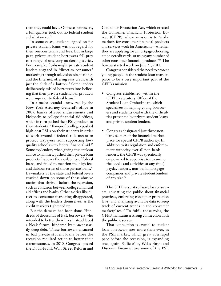than they could have. Of these borrowers, a full quarter took out no federal student aid whatsoever.<sup>9</sup>

In some cases, students signed on for private student loans without regard for their onerous terms and fees. But in large part, private student borrowers fell prey to a range of unsavory marketing tactics. For example, fly-by-night private student lenders engaged in "direct-to-consumer" marketing through television ads, mailings and the Internet, offering easy credit with just the click of a button.<sup>10</sup> Some lenders deliberately misled borrowers into believing that their private student loan products were superior to federal loans.<sup>11</sup>

In a major scandal uncovered by the New York Attorney General's office in 2007, banks offered inducements and kickbacks to college financial aid offices, which in turn pushed their PSL products to their students.12 For-profit colleges pushed high-cost PSLs on their students in order to work around a federal rule meant to protect taxpayers from supporting lowquality schools with federal financial aid.13 Some top lenders, when giving student loan advice to families, pushed their private loan products first over the availability of federal loans, and failed to mention the high fees and dubious terms of those private loans.14 Lawmakers at the state and federal levels cracked down on some of these abusive tactics that thrived before the recession, such as collusion between college financial aid offices and banks. Other tactics like direct-to-consumer marketing disappeared, along with the lenders themselves, as the credit markets tightened up.

But the damage had been done. Hundreds of thousands of PSL borrowers who intended to better their lives instead faced a bleak future, hindered by unnecessarily deep debt. These borrowers ensnared in bad private student loans before the recession required action to better their circumstances. In 2010, Congress passed the Dodd-Frank Wall Street Reform and

Consumer Protection Act, which created the Consumer Financial Protection Bureau (CFPB), whose mission is to "make markets for consumer financial products and services work for Americans—whether they are applying for a mortgage, choosing among credit cards, or using any number of other consumer financial products."15 The bureau started work on July 21, 2011.

Congress considered the need to protect young people in the student loan marketplace to be a very important part of the CFPB's mission.

- Congress established, within the CFPB, a statutory Office of the Student Loan Ombudsman, which specializes in helping young borrowers and students deal with the difficulties presented by private student loans and private student lenders.
- Congress designated just three nonbank sectors of the financial marketplace for special CFPB authority. In addition to its regulation and enforcement authority over all non-bank lenders, the CFPB was specifically empowered to supervise (or examine the books and activities at any time) payday lenders, non-bank mortgage companies and private student lenders of any size.<sup>16</sup>

The CFPB is a critical asset for consumers, educating the public about financial practices, enforcing consumer protection laws, and analyzing available data to keep track of current trends in the consumer marketplace.17 To fulfill these roles, the CFPB maintains a strong connection with the public it serves.

That connection is crucial to student loan borrowers now more than ever, as the PSL market, which grew at a rapid pace before the recession, is expanding once again. Sallie Mae, Wells Fargo and Discover Financial are some of the PSL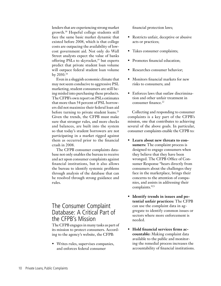lenders that are experiencing strong market growth.18 Hopeful college students still face the same basic market dynamic that existed before 2008, which is that college costs are outpacing the availability of lowcost government aid. Not only do Wall Street analysts expect the value of banks offering PSLs to skyrocket, $19$  but experts predict that private student loan volume will outpace federal student loan volume by 2030.20

Even in a sluggish economic climate that may not seem conducive to aggressive PSL marketing, student consumers are still being misled into purchasing these products. The CFPB's own report on PSLs estimates that more than 54 percent of PSL borrowers did not maximize their federal loan aid before turning to private student loans.<sup>21</sup> Given the trends, the CFPB must make sure that stronger rules, and more checks and balances, are built into the system so that today's student borrowers are not participating in a market rigged against them as occurred prior to the financial crash in 2008.

The CFPB consumer complaints database not only enables the bureau to receive and act upon consumer complaints against financial institutions, but it also allows the bureau to identify systemic problems through analysis of the database that can be resolved through strong guidance and rules.

#### The Consumer Complaint Database: A Critical Part of the CFPB's Mission

The CFPB engages in many tasks as part of its mission to protect consumers. According to the agency's website, the CFPB:

• Writes rules, supervises companies, and enforces federal consumer

financial protection laws;

- Restricts unfair, deceptive or abusive acts or practices;
- Takes consumer complaints;
- Promotes financial education;
- Researches consumer behavior;
- Monitors financial markets for new risks to consumers; and
- Enforces laws that outlaw discrimination and other unfair treatment in consumer finance.<sup>22</sup>

Collecting and responding to consumer complaints is a key part of the CFPB's mission, one that contributes to achieving several of the above goals. In particular, consumer complaints enable the CFPB to:

- **Learn about new threats to consumers:** The complaint process is designed to engage consumers when they believe that they have been wronged. The CFPB Office of Consumer Response "hears directly from consumers about the challenges they face in the marketplace, brings their concerns to the attention of companies, and assists in addressing their complaints."23
- **Identify trends in issues and potential unfair practices:** The CFPB can use the complaint data in aggregate to identify common issues or sectors where more enforcement is needed.
- **Hold financial services firms accountable:** Making complaint data available to the public and monitoring the remedial process increases the accountability of financial institutions.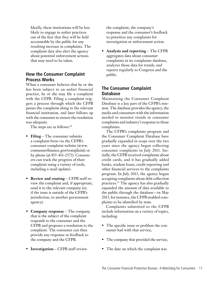Ideally, these institutions will be less likely to engage in unfair practices out of the fear that they will be held accountable by the public for any resulting increase in complaints. The complaint data also alert the agency about potential enforcement actions that may need to be taken.

#### **How the Consumer Complaint Process Works**

When a consumer believes that he or she has been subject to an unfair financial practice, he or she may file a complaint with the CFPB. Filing a complaint triggers a process through which the CFPB passes the complaint along to the relevant financial institution, and later follows up with the consumer to ensure the resolution was adequate.

The steps are as follows:<sup>24</sup>

- **Filing** The consumer submits a complaint form via the CFPB's consumer complaint website (www. consumerfinance.gov/complaint) or by phone (at 855-411-2372). Consumers can track the progress of their complaint using a variety of tools, including e-mail updates.
- **Review and routing** CFPB staff review the complaint and, if appropriate, send it to the relevant company (or, if the issue is outside of the CFPB's jurisdiction, to another government agency).
- **Company response** The company that is the subject of the complaint responds to the consumer and the CFPB and proposes a resolution to the complaint. The consumer can then provide any response or feedback to the company and the CFPB.
- **Investigation** CFPB staff review

the complaint, the company's response and the consumer's feedback to prioritize any complaints for investigation or enforcement action.

• **Analysis and reporting** – The CFPB aggregates data about consumer complaints in its complaints database, analyzes those data for trends, and reports regularly to Congress and the public.

#### **The Consumer Complaint Database**

Maintaining the Consumer Complaint Database is a key part of the CFPB's mission. The database provides the agency, the media and consumers with the information needed to monitor trends in consumer complaints and industry's response to those complaints.

The CFPB's complaints program and the Consumer Complaint Database have gradually expanded in scope over the two years since the agency began collecting consumer complaints in July 2011. Initially, the CFPB received complaints about credit cards, and it has gradually added banks, student loans, credit reporting and other financial services to the complaints program. In July 2013, the agency began accepting complaints about debt collection practices.25 The agency has also gradually expanded the amount of data available to the public through the database—in May 2013, for instance, the CFPB enabled complaints to be identified by state.

Complaints submitted to the CFPB include information on a variety of topics, including:

- The specific issue or problem the consumer had with that service,
- The company that provided the service,
- The date on which the complaint was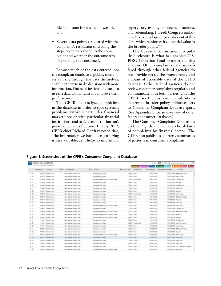filed and state from which it was filed, and

• Several data points associated with the complaint's resolution (including the steps taken to respond to the complaint and whether the outcome was disputed by the consumer).

Because much of the data entered into the complaint database is public, consumers can sift through the data themselves, enabling them to make decisions with more information. Financial institutions can also use the data to maintain and improve their performance.

The CFPB also analyzes complaints in the database in order to spot systemic problems within a particular financial marketplace or with particular financial institutions, and to determine the bureau's possible course of action. In July 2012, CFPB chief Richard Cordray noted that, "the information we have been gathering is very valuable, as it helps to inform our

supervisory exams, enforcement actions, and rulemaking. Indeed, Congress authorized us to develop our priorities out of this data, which reinforces its potential value to the broader public."26

The Bureau's commitment to public disclosure is what has enabled U.S. PIRG Education Fund to undertake this analysis. Other complaints databases offered through other federal agencies do not provide nearly the transparency and amount of accessible data of the CFPB database. Other federal agencies do not review consumer complaints regularly and communicate with both parties. That the CFPB uses the customer complaints to determine broader policy initiatives sets its Consumer Complaint Database apart. (See Appendix B for an overview of other federal consumer databases.)

The Consumer Complaint Database is updated nightly and includes a breakdown of complaints by financial sector. The CFPB also publishes quarterly summaries of patterns in consumer complaints.

**Figure 1. Screenshot of the CFPB's Consumer Complaint Database**

|             | Student loan complaints      |                            |                             |                                       |                    |                   | 云 十 乡 四       | Ed S E Q Fedin his Data of                   | E)                                |
|-------------|------------------------------|----------------------------|-----------------------------|---------------------------------------|--------------------|-------------------|---------------|----------------------------------------------|-----------------------------------|
|             | Haterton Consumer Complaints |                            |                             |                                       |                    |                   |               | O Heap Oblivation Title Minima Chast Dillant | Other Blood                       |
|             | Complaint ID                 | Product                    | $0 \equiv$ Sub-product      | $0 \equiv$ links                      | $0 \equiv 2P$ cade | Submitted val     | Data received | Data sent to company                         | Congany                           |
| $+ 35$      |                              | 525820 Suggest toas        | Non-Rederal situzent loan   | Phesiopaling your loven               |                    | 76209 Web         | 05/12/2013    |                                              | ON13Q013 _Playgan Chase           |
| 文庫          |                              | 521534 Dodsettican         | Non-federal student loan    | Repaying your loon                    |                    | 43412 Vies        | 00/10/2012    |                                              | 03/11/2013 Wels Fargo             |
| $3 \equiv$  |                              | 516980 Student isse.       | Nob-ledwal student inter-   | Problems when you are unable to plu-  |                    | 10009 Postal mail | EF00/UNK      |                                              | OR/JR/DC13 KayBank74A             |
| $+ 12$      |                              | 558014 Student loan        | Non-lederal student loan    | Prepaying your loan                   |                    | 08128 Web         | 09/05/2013    | DIVISION1 Discover                           |                                   |
| $1 \equiv$  |                              | 616340 Student issa        | Non-forbinal chatters loan  | Rapaying your loan                    |                    | 07024 Vist        | 00/06/2013    |                                              | DB/36/2013 KayBank NA             |
| 8.76        |                              | <b>SINGLE Shiplantinas</b> | Non-lederal shirterd in Mr. | Ford averag your listen               |                    | 15838 Web         | WW.5c2013     | OWNACC13 Salla Mae                           |                                   |
| 上三          |                              | 510431 Bludent loan        | Non-federal student loan    | Plassia ping your lisan               |                    | preso yes         | 09/05/2013    | OMIGD013 CHEWVE                              |                                   |
| $x \equiv$  |                              | 51527E : Studentican       | Non-lederal student loan    | Rupsing your loan                     |                    | 06518 Postal mail | 09/05/2011    |                                              | 00/06/2013 Wells Fargo            |
| $u =$       |                              | 513770 Sludedi iban.       | Not-lederal student loan.   | PAID BATIQ VIILE ISSN.                |                    | BD075 Web         | 09/04/2013    |                                              | OBG5GC11 PMordan Chase            |
| $n \equiv$  |                              | S15491 Dudenticas          | Non-lederal student loan    | Repaying your loan.                   |                    | 33914 Web         | 09/04/2013    | DIVIS/2013 Discover                          |                                   |
| 11.76       |                              | E14556 Gludentican         | Nan-luderal student loan    | Rassing your loan                     |                    | 025.03 Viab.      | 09/04/09 13   | DB/35/DC13 Sallie May                        |                                   |
| 业基          |                              | 514549 Student (pas)       | Non-regeral student loan    | FILDNOTIS WINN YOU ARE LITABLE TO DOG |                    | 10032 Web         | 09/04/2013    | OWIEGO13 Salte Main                          |                                   |
| 位置          |                              | 514007 Divolent loan       | Non-Inderal student loan    | Repaying your loan                    |                    | 23235 Web         | 05/04/2013    |                                              | 00/35/2013 KeyBank NA             |
| 样子          |                              | 514496 Student max.        | Non-bedeck shoterfloor      | Finchlems when you are unable to pay  |                    | 02377 USAb        | 110040013     |                                              | 09/25/2011 PMinrosn Chase         |
| 11 三        |                              | 53433C Student town        | Not-World student town      | Problems when you are unable to pay   |                    | 77651 Web         | 09/04/2013    | DMISOC13 HONELA                              |                                   |
| 拉温          |                              | S13952 Diudentioan         | Non-federal student loan    | Problems when you are unable to pay   |                    | 20001 Web         | 00/04/2013    | 09/34/2013 Critians                          |                                   |
| 计平          |                              | 511521 Riversitions        | Non-lederal student loan    | Research visat loan                   |                    | 27404 Wat         | 09/01/2013    |                                              | 09/33/2013 KeyRank NA             |
| 日三          |                              | 511554 Student loan        | Non-hideral student loan    | Riegiaying your loan                  |                    | 30097 Postal mail | 08/30/2013    |                                              | 09/34/2013 Bank of America        |
| 丝带          |                              | 519304 Disdections         | Non-federal student loan    | Fliesaying your loan                  |                    | ST524 Viet        | 00/30/2013    |                                              | 09/03/2013 Wells Fargo            |
| $10 \equiv$ |                              | 510967 Studettone          | Nite-Sedecal Abaders loan   | Redaving your loan                    |                    | T7050 Viat        | 00/30/2013    |                                              | DMM2011 _PMorpin Chase            |
| 11.22       |                              | 553720 Bluckerf loan       | Non-federal student issen   | Prepasing your loan                   |                    | ce/V 0800E        | 08/30/2013    | DIVISIONS Discover                           |                                   |
| 丝藻          |                              | E10440 Dudantiage          | Non-federal student loan    | Problems when you are unable to pay   |                    | 62003 Viet        | 09/30/2313    |                                              | 09/33/2013 Wells Fargo            |
| 29 年        |                              | 510422 Student Inak        | Non-Indecal student loan    | Researches Isaa                       |                    | 10006 Web         | 08/30/2013    | 09/33/2013 Saliw Mare                        |                                   |
| $56 - 32$   |                              | 510320 Sudentiour          | Nan-federal student juan    | Pinsaying your loan                   |                    | 21402 Email       | 08/30/2013    | 08/90/2011 Sallie Max                        |                                   |
| 36 三        |                              | E10361 Chalentinae         | Non-Noderol shadlers loon   | Riebaving your loan                   |                    | 06516 Viab.       | 09/20/2013    | DEGOCC13 Sallie Max.                         |                                   |
| 耳王          |                              | SCB440 Sludent loan        | Non-lederal student loan    | Regauing your loan                    |                    | JUTIS Web         | 01/29/2311    |                                              | DB/25/2013 ACS Education Services |
| D.2         |                              | <b>CC9431 Cludentions</b>  | Non-lederal student loan    | Problems when you are unable to pay   |                    | DOZGZ Wiet:       | 00/29/2013    | 00/30/2013 Dall e Max                        |                                   |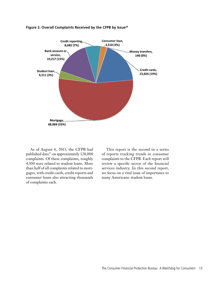![](_page_17_Figure_0.jpeg)

#### **Figure 2. Overall Complaints Received by the CFPB by Issue28**

As of August 6, 2013, the CFPB had published data<sup>27</sup> on approximately 128,000 complaints. Of these complaints, roughly 4,300 were related to student loans. More than half of all complaints related to mortgages, with credit cards, credit reports and consumer loans also attracting thousands of complaints each.

This report is the second in a series of reports tracking trends in consumer complaints to the CFPB. Each report will review a specific sector of the financial services industry. In this second report, we focus on a vital issue of importance to many Americans: student loans.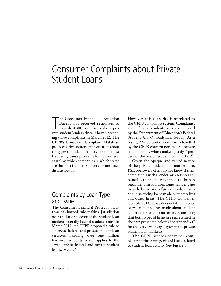## Consumer Complaints about Private Student Loans

The Consumer Financial Protection<br>Bureau has received responses to<br>roughly 4,300 complaints about pri-<br>vate student lenders since it began accepthe Consumer Financial Protection Bureau has received responses to roughly 4,300 complaints about priing those complaints in March 2012. The CFPB's Consumer Complaint Database provides a rich source of information about the types of student loan services that most frequently cause problems for consumers, as well as which companies in which states are the most frequent subjects of consumer dissatisfaction.

#### Complaints by Loan Type and Issue

The Consumer Financial Protection Bureau has limited rule-making jurisdiction over the largest sector of the student loan market: federally backed student loans. In March 2013, the CFPB proposed a rule to supervise federal and private student loan servicers handling over one million borrower accounts, which applies to the seven largest federal and private student loan servicers.<sup>29</sup>

However, this authority is unrelated to the CFPB complaints system. Complaints about federal student loans are received by the Department of Education's Federal Student Aid Ombudsman Group. As a result, 99.4 percent of complaints handled by the CFPB concern non-federal private student loans, which make up only 7 percent of the overall student loan market.<sup>30</sup>

Given the opaque and varied nature of the private student loan marketplace, PSL borrowers often do not know if their complaint is with a lender, or a servicer retained by their lender to handle the loan in repayment. In addition, some firms engage in both the issuance of private student loans and in servicing loans made by themselves and other firms. The CFPB Consumer Complaint Database does not differentiate between complaints made about student lenders and student loan servicers, meaning that both types of firms are represented in the data presented below. (See Appendix C for an overview of key players in the private student loan market.)

The CFPB accepts consumer complaints in three categories of issues related to student loan activity (see Figure 3):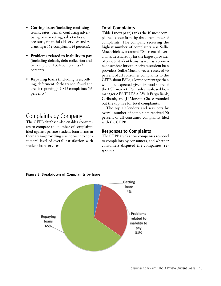- **Getting loans** (including confusing terms, rates, denial, confusing advertising or marketing, sales tactics or pressure, financial aid services and recruiting): 162 complaints (4 percent).
- **Problems related to inability to pay**  (including default, debt collection and bankruptcy): 1,334 complaints (31 percent).
- **Repaying loans** (including fees, billing, deferment, forbearance, fraud and credit reporting): 2,815 complaints (65 percent).<sup>31</sup>

#### Complaints by Company

The CFPB database also enables consumers to compare the number of complaints filed against private student loan firms in their area—providing a window into consumers' level of overall satisfaction with student loan services.

#### **Total Complaints**

Table 1 (next page) ranks the 10 most complained-about firms by absolute number of complaints. The company receiving the highest number of complaints was Sallie Mae, which is, at around 50 percent of overall market share, by far the largest provider of private student loans, as well as a prominent servicer for other private student loan providers. Sallie Mae, however, received 46 percent of all consumer complaints to the CFPB about PSLs, a lower percentage than would be expected given its total share of the PSL market. Pennsylvania-based loan manager AES/PHEAA, Wells Fargo Bank, Citibank, and JPMorgan Chase rounded out the top five for total complaints.

The top 10 lenders and servicers by overall number of complaints received 90 percent of all consumer complaints filed with the CFPB.

#### **Responses to Complaints**

The CFPB tracks how companies respond to complaints by consumers, and whether consumers disputed the companies' responses.

![](_page_19_Figure_10.jpeg)

**Figure 3. Breakdown of Complaints by Issue**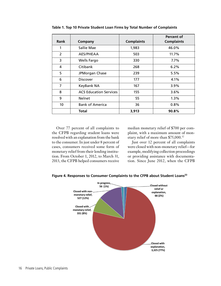| <b>Rank</b>    | Company                       | <b>Complaints</b> | Percent of<br><b>Complaints</b> |
|----------------|-------------------------------|-------------------|---------------------------------|
| 1              | Sallie Mae                    | 1,983             | 46.0%                           |
| 2              | AES/PHEAA                     | 503               | 11.7%                           |
| 3              | Wells Fargo                   | 330               | 7.7%                            |
| 4              | Citibank                      | 268               | 6.2%                            |
| 5              | JPMorgan Chase                | 239               | 5.5%                            |
| 6              | <b>Discover</b>               | 177               | $4.1\%$                         |
| $\overline{7}$ | KeyBank NA                    | 167               | 3.9%                            |
| 8              | <b>ACS Education Services</b> | 155               | 3.6%                            |
| 9              | <b>Nelnet</b>                 | 55                | 1.3%                            |
| 10             | <b>Bank of America</b>        | 36                | 0.8%                            |
|                | <b>Total</b>                  | 3,913             | 90.8%                           |

**Table 1. Top 10 Private Student Loan Firms by Total Number of Complaints**

Over 77 percent of all complaints to the CFPB regarding student loans were resolved with an explanation from the bank to the consumer. In just under 8 percent of cases, consumers received some form of monetary relief from their lending institution. From October 1, 2012, to March 31, 2013, the CFPB helped consumers receive

median monetary relief of \$700 per complaint, with a maximum amount of monetary relief of more than \$75,000.32

Just over 12 percent of all complaints were closed with non-monetary relief—for example, modifying collection proceedings or providing assistance with documentation. Since June 2012, when the CFPB

![](_page_20_Figure_5.jpeg)

**Figure 4. Responses to Consumer Complaints to the CFPB about Student Loans33**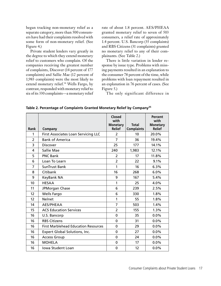began tracking non-monetary relief as a separate category, more than 500 consumers have had their complaints resolved with some form of non-monetary relief. (See Figure 4.)

Private student lenders vary greatly in the degree to which they extend monetary relief to customers who complain. Of the companies receiving the greatest number of complaints, Discover (14 percent of 177 complaints) and Sallie Mae (12 percent of 1,983 complaints) were the most likely to extend monetary relief.<sup>34</sup> Wells Fargo, by contrast, responded with monetary relief to six of its 330 complaints—a monetary relief

rate of about 1.8 percent. AES/PHEAA granted monetary relief to seven of 503 consumers, a relief rate of approximately 1.4 percent. U.S. Bancorp (35 complaints) and RBS Citizens (31 complaints) granted no monetary relief to any of their complainants. (See Table 2.)

There is little variation in lender response by issue type. Problems with missing payments resulted in an explanation to the consumer 78 percent of the time, while problems with loan repayment resulted in an explanation in 76 percent of cases. (See Figure 5.)

The only significant difference in

| Rank           | Company                                     | Closed<br>with<br><b>Monetary</b><br><b>Relief</b> | <b>Total</b><br><b>Complaints</b> | Percent<br>with<br><b>Monetary</b><br><b>Relief</b> |
|----------------|---------------------------------------------|----------------------------------------------------|-----------------------------------|-----------------------------------------------------|
| 1              | <b>First Associates Loan Servicing LLC</b>  | 2                                                  | 10                                | 20.0%                                               |
| $\overline{2}$ | <b>Bank of America</b>                      | 7                                                  | 36                                | 19.4%                                               |
| 3              | <b>Discover</b>                             | 25                                                 | 177                               | 14.1%                                               |
| 4              | Sallie Mae                                  | 240                                                | 1,983                             | 12.1%                                               |
| 5              | <b>PNC Bank</b>                             | $\overline{2}$                                     | 17                                | 11.8%                                               |
| 6              | Loan To Learn                               | $\overline{2}$                                     | 22                                | 9.1%                                                |
| 7              | <b>SunTrust Bank</b>                        | 1                                                  | 16                                | 6.3%                                                |
| 8              | Citibank                                    | 16                                                 | 268                               | 6.0%                                                |
| 9              | KeyBank NA                                  | 9                                                  | 167                               | 5.4%                                                |
| 10             | <b>HESAA</b>                                | 1                                                  | 25                                | 4.0%                                                |
| 11             | JPMorgan Chase                              | 6                                                  | 239                               | 2.5%                                                |
| 12             | <b>Wells Fargo</b>                          | 6                                                  | 330                               | 1.8%                                                |
| 12             | <b>Nelnet</b>                               | 1                                                  | 55                                | 1.8%                                                |
| 14             | AES/PHEAA                                   | 7                                                  | 503                               | 1.4%                                                |
| 15             | <b>ACS Education Services</b>               | $\overline{2}$                                     | 155                               | 1.3%                                                |
| 16             | U.S. Bancorp                                | 0                                                  | 35                                | 0.0%                                                |
| 16             | <b>RBS Citizens</b>                         | $\Omega$                                           | 31                                | 0.0%                                                |
| 16             | <b>First Marblehead Education Resources</b> | 0                                                  | 29                                | 0.0%                                                |
| 16             | Expert Global Solutions, Inc.               | 0                                                  | 27                                | 0.0%                                                |
| 16             | <b>Access Group</b>                         | 0                                                  | 24                                | 0.0%                                                |
| 16             | <b>MOHELA</b>                               | $\Omega$                                           | 17                                | 0.0%                                                |
| 16             | <b>Iowa Student Loan</b>                    | 0                                                  | 12                                | 0.0%                                                |

**Table 2. Percentage of Complaints Granted Monetary Relief by Company35**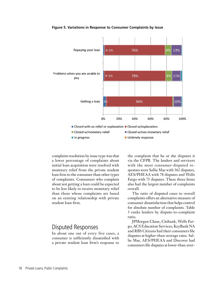![](_page_22_Figure_0.jpeg)

**Figure 5. Variations in Response to Consumer Complaints by Issue**

complaint resolution by issue type was that a lower percentage of complaints about initial loan acquisition were resolved with monetary relief from the private student loan firm to the consumer than other types of complaints. Consumers who complain about not getting a loan could be expected to be less likely to receive monetary relief than those whose complaints are based on an existing relationship with private student loan firm.

#### Disputed Responses

In about one out of every five cases, a consumer is sufficiently dissatisfied with a private student loan firm's response to the complaint that he or she disputes it via the CFPB. The lenders and servicers with the most consumer-disputed responses were Sallie Mae with 362 disputes, AES/PHEAA with 78 disputes and Wells Fargo with 75 disputes. These three firms also had the largest number of complaints overall.

The ratio of disputed cases to overall complaints offers an alternative measure of consumer dissatisfaction that helps control for absolute number of complaints. Table 3 ranks lenders by dispute-to-complaint ratio.

JPMorgan Chase, Citibank, Wells Fargo, ACS Education Services, KeyBank NA and RBS Citizens had their consumers file disputes at higher-than-average rates. Sallie Mae, AES/PHEAA and Discover had consumers file disputes at lower-than-aver-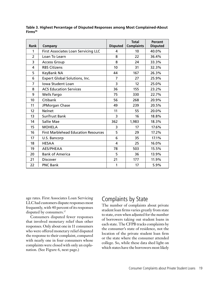| <b>Rank</b>    | Company                                     | <b>Disputed</b> | <b>Total</b><br><b>Complaints</b> | Percent<br><b>Disputed</b> |
|----------------|---------------------------------------------|-----------------|-----------------------------------|----------------------------|
| 1              | <b>First Associates Loan Servicing LLC</b>  | 4               | 10                                | 40.0%                      |
| $\overline{2}$ | Loan To Learn                               | 8               | 22                                | 36.4%                      |
| 3              | <b>Access Group</b>                         | 8               | 24                                | 33.3%                      |
| 4              | <b>RBS Citizens</b>                         | 10              | 31                                | 32.3%                      |
| 5              | KeyBank NA                                  | 44              | 167                               | 26.3%                      |
| 6              | Expert Global Solutions, Inc.               | 7               | 27                                | 25.9%                      |
| 7              | <b>Iowa Student Loan</b>                    | 3               | 12                                | 25.0%                      |
| 8              | <b>ACS Education Services</b>               | 36              | 155                               | 23.2%                      |
| 9              | <b>Wells Fargo</b>                          | 75              | 330                               | 22.7%                      |
| 10             | Citibank                                    | 56              | 268                               | 20.9%                      |
| 11             | JPMorgan Chase                              | 49              | 239                               | 20.5%                      |
| 12             | <b>Nelnet</b>                               | 11              | 55                                | 20.0%                      |
| 13             | <b>SunTrust Bank</b>                        | 3               | 16                                | 18.8%                      |
| 14             | Sallie Mae                                  | 362             | 1,983                             | 18.3%                      |
| 15             | <b>MOHELA</b>                               | 3               | 17                                | 17.6%                      |
| 16             | <b>First Marblehead Education Resources</b> | 5               | 29                                | 17.2%                      |
| 17             | U.S. Bancorp                                | 6               | 35                                | 17.1%                      |
| 18             | <b>HESAA</b>                                | 4               | 25                                | 16.0%                      |
| 19             | AES/PHEAA                                   | 78              | 503                               | 15.5%                      |
| 20             | <b>Bank of America</b>                      | 5               | 36                                | 13.9%                      |
| 21             | <b>Discover</b>                             | 21              | 177                               | 11.9%                      |
| 22             | <b>PNC Bank</b>                             | 1               | 17                                | 5.9%                       |

**Table 3. Highest Percentage of Disputed Responses among Most Complained-About Firms36**

age rates. First Associates Loan Servicing LLC had customers dispute responses most frequently, with 40 percent of its responses disputed by consumers.<sup>37</sup>

Consumers disputed fewer responses that involved monetary relief than other responses. Only about one in 11 consumers who were offered monetary relief disputed the response to their complaint, compared with nearly one in four consumers whose complaints were closed with only an explanation. (See Figure 6, next page.)

#### Complaints by State

The number of complaints about private student loan firms varies greatly from state to state, even when adjusted for the number of borrowers taking out student loans in each state. The CFPB tracks complaints by the consumer's state of residence, not the location of the private student loan firm or the state where the consumer attended college. So, while these data shed light on which states have the borrowers most likely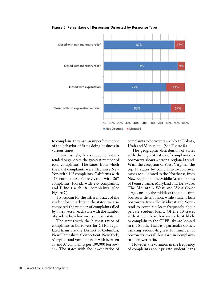![](_page_24_Figure_0.jpeg)

#### **Figure 6. Percentage of Responses Disputed by Response Type**

to complain, they are an imperfect metric of the behavior of firms doing business in various states.

Unsurprisingly, the most populous states tended to generate the greatest number of total complaints. The states from which the most complaints were filed were New York with 442 complaints, California with 413 complaints, Pennsylvania with 267 complaints, Florida with 255 complaints, and Illinois with 181 complaints. (See Figure 7.)

To account for the different sizes of the student loan markets in the states, we also compared the number of complaints filed by borrowers in each state with the number of student loan borrowers in each state.

The states with the highest ratios of complaints to borrowers for CFPB-regulated firms are the District of Columbia, New Hampshire, Connecticut, New York, Maryland and Vermont, each with between 17 and 37 complaints per 100,000 borrowers. The states with the lowest ratios of complaints to borrowers are North Dakota, Utah and Mississippi. (See Figure 8.)

The geographic distribution of states with the highest ratios of complaints to borrowers shows a strong regional trend. With the exception of West Virginia, the top 13 states by complaint-to-borrower ratio are all located in the Northeast, from New England to the Middle Atlantic states of Pennsylvania, Maryland and Delaware. The Mountain West and West Coast largely occupy the middle of the complaintborrower distribution, while student loan borrowers from the Midwest and South tend to complain least frequently about private student loans. Of the 10 states with student loan borrowers least likely to complain to the CFPB, six are located in the South. Texas is a particular outlier, ranking second-highest for number of borrowers overall but 43rd in complaintto-borrower ratio.

However, the variation in the frequency of complaints about private student loans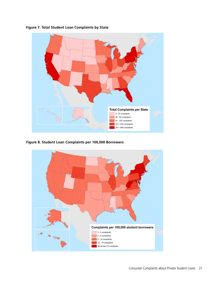![](_page_25_Figure_0.jpeg)

**Figure 7. Total Student Loan Complaints by State**

**Figure 8. Student Loan Complaints per 100,000 Borrowers**

![](_page_25_Figure_3.jpeg)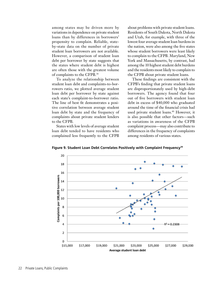among states may be driven more by variations in dependence on private student loans than by differences in borrowers' propensity to complain. Reliable, stateby-state data on the number of private student loan borrowers are not available. However, a comparison of student loan debt per borrower by state suggests that the states where student debt is highest are often those with the greatest volume of complaints to the CFPB.38

To analyze the relationship between student loan debt and complaints-to-borrowers ratio, we plotted average student loan debt per borrower by state against each state's complaint-to-borrower ratio. The line of best fit demonstrates a positive correlation between average student loan debt by state and the frequency of complaints about private student lenders to the CFPB.

States with low levels of average student loan debt tended to have residents who complained less frequently to the CFPB about problems with private student loans. Residents of South Dakota, North Dakota and Utah, for example, with three of the lowest four average student loan burdens in the nation, were also among the five states whose student borrowers were least likely to complain to the CFPB. Maryland, New York and Massachusetts, by contrast, had among the 10 highest student debt burdens and the residents most likely to complain to the CFPB about private student loans.

These findings are consistent with the CFPB's finding that private student loans are disproportionately used by high-debt borrowers. The agency found that four out of five borrowers with student loan debt in excess of \$40,000 who graduated around the time of the financial crisis had used private student loans.<sup>40</sup> However, it is also possible that other factors—such as variations in awareness of the CFPB complaint process—may also contribute to differences in the frequency of complaints among residents of various states.

![](_page_26_Figure_5.jpeg)

**Figure 9. Student Loan Debt Correlates Positively with Complaint Frequency39**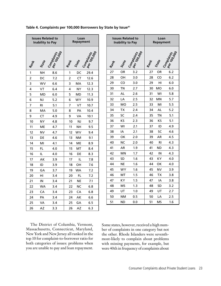| Table 4. Complaints per 100,000 Borrowers by State by Issue <sup>41</sup> |  |  |  |  |
|---------------------------------------------------------------------------|--|--|--|--|
|---------------------------------------------------------------------------|--|--|--|--|

|    | <b>Inability to Pay</b> | <b>Issues Related to</b> | Loan<br>Repayment |           |                                            |  |
|----|-------------------------|--------------------------|-------------------|-----------|--------------------------------------------|--|
|    |                         |                          | Rap.              |           | -   Per 1961 15<br>  Per 1960 15<br>Compt. |  |
| 1  | NΗ                      | 8.6                      | 1                 | DC        | 29.4                                       |  |
| 2  | DC                      | 7.2                      | 2                 | CT        | 12.6                                       |  |
| 3  | WV                      | 6.6                      | 3                 | MA        | 12.3                                       |  |
| 4  | VT                      | 6.4                      | 4                 | <b>NY</b> | 12.3                                       |  |
| 5  | MD                      | 6.0                      | 5                 | MD        | 11.3                                       |  |
| 6  | NJ                      | 5.2                      | 6                 | <b>WY</b> | 10.9                                       |  |
| 7  | RI                      | 5.1                      | 7                 | VT        | 10.7                                       |  |
| 8  | MA                      | 5.0                      | 8                 | PA        | 10.4                                       |  |
| 9  | <b>CT</b>               | 4.9                      | 9                 | VA        | 10.1                                       |  |
| 10 | NY                      | 4.8                      | 10                | NJ        | 9.7                                        |  |
| 11 | МE                      | 4.7                      | 11                | NΗ        | 9.5                                        |  |
| 12 | NV                      | 4.7                      | 12                | WV        | 9.4                                        |  |
| 13 | DE                      | 4.6                      | 13                | NΜ        | 9.1                                        |  |
| 14 | MI                      | 4.1                      | 14                | MЕ        | 8.9                                        |  |
| 15 | FL.                     | 4.0                      | 15                | МΤ        | 8.4                                        |  |
| 16 | IL                      | 4.0                      | 16                | DE        | 8.3                                        |  |
| 17 | AK                      | 3.9                      | 17                | IL        | 7.8                                        |  |
| 18 | ID                      | 3.9                      | 18                | OН        | 7.6                                        |  |
| 19 | GA                      | 3.7                      | 19                | WA        | 7.2                                        |  |
| 20 | HI                      | 3.4                      | 20                | FL.       | 7.2                                        |  |
| 21 | ΙN                      | 3.4                      | 21                | ΝE        | 7.1                                        |  |
| 22 | <b>WA</b>               | 3.4                      | 22                | ΝC        | 6.8                                        |  |
| 23 | CA                      | 3.4                      | 23                | CA        | 6.8                                        |  |
| 24 | PA                      | 3.4                      | 24                | AΚ        | 6.6                                        |  |
| 25 | <b>VA</b>               | 3.4                      | 25                | GА        | 6.5                                        |  |
| 26 | AZ                      | 3.3                      | 26                | AZ        | 6.3                                        |  |

|    | <b>Issues Related to</b><br><b>Inability to Pay</b> |                     | Loan<br>Repayment |    |                         |  |
|----|-----------------------------------------------------|---------------------|-------------------|----|-------------------------|--|
|    | State                                               | $\mathcal{S}^{\xi}$ | R <sub>an</sub>   |    | <b>Der</b> 100.00<br>တ် |  |
| 27 | OR                                                  | 3.2                 | 27                | ΟR | 6.2                     |  |
| 28 | OН                                                  | 3.0                 | 28                | CO | 6.2                     |  |
| 29 | CO                                                  | 3.0                 | 29                | нı | 6.0                     |  |
| 30 | ΤN                                                  | 2.7                 | 30                | MO | 6.0                     |  |
| 31 | AL                                                  | 2.6                 | 31                | WI | 5.8                     |  |
| 32 | LA                                                  | 2.5                 | 32                | МN | 5.7                     |  |
| 33 | MO                                                  | 2.5                 | 33                | мі | 5.5                     |  |
| 34 | TХ                                                  | 2.4                 | 34                | AL | 5.2                     |  |
| 35 | SC                                                  | 2.4                 | 35                | ΤN | 5.1                     |  |
| 36 | ΚS                                                  | 2.3                 | 36                | ΚS | 5.1                     |  |
| 37 | WI                                                  | 2.1                 | 37                | ID | 4.9                     |  |
| 38 | ΙA                                                  | 2.1                 | 38                | SC | 4.6                     |  |
| 39 | ОΚ                                                  | 2.0                 | 39                | AR | 4.5                     |  |
| 40 | NC                                                  | 2.0                 | 40                | RI | 4.3                     |  |
| 41 | AR                                                  | 1.9                 | 41                | ΝD | 4.3                     |  |
| 42 | МN                                                  | 1.7                 | 42                | IN | 4.3                     |  |
| 43 | SD                                                  | 1.6                 | 43                | KY | 4.0                     |  |
| 44 | ΝE                                                  | 1.6                 | 44                | ОΚ | 4.0                     |  |
| 45 | <b>WY</b>                                           | 1.6                 | 45                | NV | 3.9                     |  |
| 46 | мт                                                  | 1.5                 | 46                | ТX | 3.8                     |  |
| 47 | ΚY                                                  | 1.5                 | 47                | IΑ | 3.8                     |  |
| 48 | ΜS                                                  | 1.3                 | 48                | SD | 3.2                     |  |
| 49 | UT                                                  | 1.0                 | 49                | UT | 2.7                     |  |
| 50 | NΜ                                                  | 0.5                 | 50                | LA | 2.5                     |  |
| 51 | ND                                                  | 0.0                 | 51                | ΜS | 1.6                     |  |

The District of Columbia, Vermont, Massachusetts, Connecticut, Maryland, New York and New Jersey all ranked in the top 10 for complaint-to-borrower ratio for both categories of issues: problems when you are unable to pay and loan repayment.

Some states, however, received a high number of complaints in one category but not the other. Rhode Islanders were seventhmost-likely to complain about problems with missing payments, for example, but were 40th in frequency of complaints about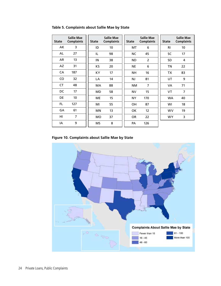| <b>State</b> | <b>Sallie Mae</b><br><b>Complaints</b> | <b>State</b> | <b>Sallie Mae</b><br><b>Complaints</b> | <b>State</b> | <b>Sallie Mae</b><br><b>Complaints</b> | <b>State</b> | <b>Sallie Mae</b><br><b>Complaints</b> |
|--------------|----------------------------------------|--------------|----------------------------------------|--------------|----------------------------------------|--------------|----------------------------------------|
| AK           | 3                                      | ID           | 10                                     | МT           | 6                                      | <b>RI</b>    | 10                                     |
| AL           | 27                                     | IL           | 98                                     | NС           | 45                                     | SC           | 17                                     |
| <b>AR</b>    | 13                                     | IN           | 38                                     | <b>ND</b>    | $\overline{2}$                         | <b>SD</b>    | 4                                      |
| AZ           | 31                                     | ΚS           | 20                                     | <b>NE</b>    | 6                                      | <b>TN</b>    | 22                                     |
| CA           | 187                                    | KY           | 17                                     | <b>NH</b>    | 16                                     | <b>TX</b>    | 83                                     |
| <b>CO</b>    | 32                                     | LA           | 14                                     | NJ           | 81                                     | UT           | 9                                      |
| <b>CT</b>    | 48                                     | MA           | 88                                     | <b>NM</b>    | $\overline{7}$                         | VA           | 71                                     |
| DC           | 17                                     | <b>MD</b>    | 58                                     | <b>NV</b>    | 15                                     | VT           | 7                                      |
| DE           | 10                                     | ME           | 15                                     | NY.          | 170                                    | <b>WA</b>    | 40                                     |
| FL.          | 127                                    | MI           | 55                                     | OH           | 87                                     | WI           | 18                                     |
| GA           | 61                                     | MN           | 13                                     | OK           | 12                                     | <b>WV</b>    | 19                                     |
| HI           | 7                                      | <b>MO</b>    | 37                                     | OR           | 22                                     | WY           | 3                                      |
| IA           | 9                                      | <b>MS</b>    | 8                                      | PA           | 126                                    |              |                                        |

**Table 5. Complaints about Sallie Mae by State**

**Figure 10. Complaints about Sallie Mae by State**

![](_page_28_Figure_3.jpeg)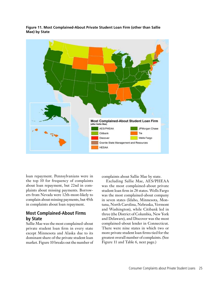![](_page_29_Figure_0.jpeg)

**Figure 11. Most Complained-About Private Student Loan Firm (other than Sallie Mae) by State**

loan repayment. Pennsylvanians were in the top 10 for frequency of complaints about loan repayment, but 22nd in complaints about missing payments. Borrowers from Nevada were 12th-most-likely to complain about missing payments, but 45th in complaints about loan repayment.

#### **Most Complained-About Firms by State**

Sallie Mae was the most complained-about private student loan firm in every state except Minnesota and Alaska due to its dominant share of the private student loan market. Figure 10 breaks out the number of complaints about Sallie Mae by state.

Excluding Sallie Mae, AES/PHEAA was the most complained-about private student loan firm in 28 states. Wells Fargo was the most complained-about company in seven states (Idaho, Minnesota, Montana, North Carolina, Nebraska, Vermont and Washington), while Citibank led in three (the District of Columbia, New York and Delaware), and Discover was the most complained-about lender in Connecticut. There were nine states in which two or more private student loan firms tied for the greatest overall number of complaints. (See Figure 11 and Table 6, next page.)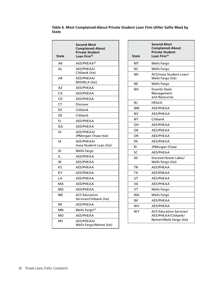#### **Table 6. Most Complained-About Private Student Loan Firm (After Sallie Mae) by State**

| State | <b>Second-Most</b><br><b>Complained-About</b><br><b>Private Student</b><br>Loan Firm <sup>42</sup> |
|-------|----------------------------------------------------------------------------------------------------|
| AK    | AES/PHEAA <sup>43</sup>                                                                            |
| AL    | AES/PHEAA/<br>Citibank (tie)                                                                       |
| AR    | AES/PHEAA/<br>MOHELA (tie)                                                                         |
| AZ    | AES/PHEAA                                                                                          |
| CA    | AES/PHEAA                                                                                          |
| CO    | AES/PHEAA                                                                                          |
| CT    | <b>Discover</b>                                                                                    |
| DC    | Citibank                                                                                           |
| DE    | Citibank                                                                                           |
| FL    | AES/PHEAA                                                                                          |
| GA    | AES/PHEAA                                                                                          |
| нı    | AES/PHEAA/<br>JPMorgan Chase (tie)                                                                 |
| IA    | AES/PHEAA/<br>Iowa Student Loan (tie)                                                              |
| ID    | Wells Fargo                                                                                        |
| IL    | AES/PHEAA                                                                                          |
| IN    | AES/PHEAA                                                                                          |
| KS    | AES/PHEAA                                                                                          |
| KΥ    | AES/PHEAA                                                                                          |
| LA    | AES/PHEAA                                                                                          |
| МA    | AES/PHEAA                                                                                          |
| MD    | AES/PHEAA                                                                                          |
| МE    | ACS Education<br>Services/Citibank (tie)                                                           |
| МΙ    | AES/PHEAA                                                                                          |
| ΜN    | Wells Fargo <sup>44</sup>                                                                          |
| MO    | AES/PHEAA                                                                                          |
| MS    | AES/PHEAA/<br>Wells Fargo/Nelnet (tie)                                                             |

| <b>State</b> | <b>Second-Most</b><br><b>Complained-About</b><br><b>Private Student</b><br>Loan Firm <sup>42</sup> |
|--------------|----------------------------------------------------------------------------------------------------|
| мт           | <b>Wells Fargo</b>                                                                                 |
| NC           | <b>Wells Fargo</b>                                                                                 |
| ND           | ACS/Iowa Student Loan/<br>Wells Fargo (tie)                                                        |
| NE           | <b>Wells Fargo</b>                                                                                 |
| NΗ           | <b>Granite State</b><br>Management<br>and Resources                                                |
| NJ           | <b>HESAA</b>                                                                                       |
| NΜ           | AES/PHEAA                                                                                          |
| NV           | AES/PHEAA                                                                                          |
| ΝY           | Citibank                                                                                           |
| OН           | AES/PHEAA                                                                                          |
| OK           | AES/PHEAA                                                                                          |
| OR           | AES/PHEAA                                                                                          |
| PA           | AES/PHEAA                                                                                          |
| RI           | JPMorgan Chase                                                                                     |
| SC           | AES/PHEAA                                                                                          |
| SD           | Discover/Great Lakes/<br>Wells Fargo (tie)                                                         |
| ΤN           | <b>AES/PHEAA</b>                                                                                   |
| тх           | AES/PHEAA                                                                                          |
| UT           | AES/PHEAA                                                                                          |
| VA           | <b>AES/PHEAA</b>                                                                                   |
| VT           | Wells Fargo                                                                                        |
| WA           | Wells Fargo                                                                                        |
| WI           | AES/PHEAA                                                                                          |
| WV           | AES/PHEAA                                                                                          |
| WY           | <b>ACS Education Services/</b><br>AES/PHEAA/Citibank/<br>Nelnet/Wells Fargo (tie)                  |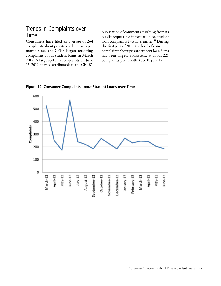#### Trends in Complaints over Time

Consumers have filed an average of 264 complaints about private student loans per month since the CFPB began accepting complaints about student loans in March 2012. A large spike in complaints on June 15, 2012, may be attributable to the CFPB's publication of comments resulting from its public request for information on student loan complaints two days earlier.<sup>45</sup> During the first part of 2013, the level of consumer complaints about private student loan firms has been largely consistent, at about 225 complaints per month. (See Figure 12.)

600 500 400 Complaints 300 200 100 0 January-13 April-13 June-13 April-12 May-12 June-12 July-12 March-13 May-13 Vlarch-12 September-12 October-12 Vovember-12 December-12 August-12 February-13

**Figure 12. Consumer Complaints about Student Loans over Time**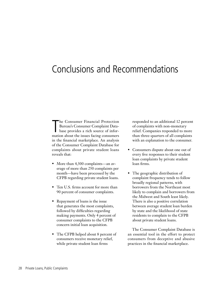## Conclusions and Recommendations

The Consumer Financial Protection<br>Bureau's Consumer Complaint Data-<br>base provides a rich source of infor-<br>mation about the issues facing consumers he Consumer Financial Protection Bureau's Consumer Complaint Database provides a rich source of inforin the financial marketplace. An analysis of the Consumer Complaint Database for complaints about private student loans reveals that:

- More than 4,300 complaints—an average of more than 250 complaints per month—have been processed by the CFPB regarding private student loans.
- Ten U.S. firms account for more than 90 percent of consumer complaints.
- Repayment of loans is the issue that generates the most complaints, followed by difficulties regarding making payments. Only 4 percent of consumer complaints to the CFPB concern initial loan acquisition.
- The CFPB helped about 8 percent of consumers receive monetary relief, while private student loan firms

responded to an additional 12 percent of complaints with non-monetary relief. Companies responded to more than three-quarters of all complaints with an explanation to the consumer.

- Consumers dispute about one out of every five responses to their student loan complaints by private student loan firms.
- The geographic distribution of complaint frequency tends to follow broadly regional patterns, with borrowers from the Northeast most likely to complain and borrowers from the Midwest and South least likely. There is also a positive correlation between average student loan burden by state and the likelihood of state residents to complain to the CFPB about private student loans.

The Consumer Complaint Database is an essential tool in the effort to protect consumers from deceptive and abusive practices in the financial marketplace.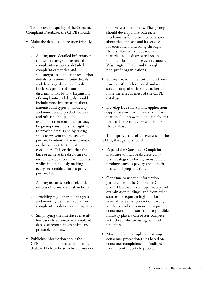To improve the quality of the Consumer Complaint Database, the CFPB should:

- Make the database more user-friendly by:
	- o Adding more detailed information to the database, such as actual complaint narratives, detailed complaint categories and subcategories, complaint resolution details, consumer dispute details, and data regarding membership in classes protected from discrimination by law. Expansion of complaint-level details should include more information about amounts and types of monetary and non-monetary relief. Software and other techniques should be used to protect consumer privacy by giving consumers the right not to provide details and by taking steps to prevent the release of personally-identifiable information or the re-identification of consumers. It is critical that the bureau achieve the disclosure of more individual complaint details while simultaneously making every reasonable effort to protect personal data.
	- o Adding features such as clear definitions of terms and instructions.
	- o Providing regular trend analyses and monthly detailed reports on complaint resolutions and disputes.
	- o Simplifying the interfaces that allow users to summarize complaint database reports in graphical and printable formats.
- Publicize information about the CFPB complaints process in forums that are likely to be seen by consumers

of private student loans. The agency should develop more outreach mechanisms for consumer education about the database and its services for consumers, including through the distribution of educational materials to be distributed on and off-line, through more events outside Washington, D.C., and through non-profit organizations.

- Survey financial institutions and borrowers with both resolved and unresolved complaints in order to better hone the effectiveness of the CFPB database.
- Develop free smartphone applications (apps) for consumers to access information about how to complain about a firm and how to review complaints in the database.

To improve the effectiveness of the CFPB, the agency should:

- Expand the Consumer Complaint Database to include discrete complaint categories for high-cost credit products such as payday and auto title loans, and prepaid cards.
- Continue to use the information gathered from the Consumer Complaint Database, from supervisory and examination findings, and from other sources to require a high, uniform level of consumer protection through guidance and rules in order to protect consumers and ensure that responsible industry players can better compete with those who are using harmful practices.
- Move quickly to implement strong consumer protection rules based on consumer complaints and findings from recent reports to protect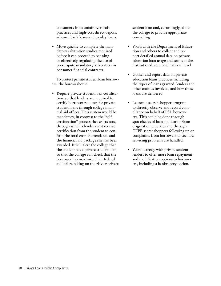consumers from unfair overdraft practices and high-cost direct deposit advance bank loans and payday loans.

Move quickly to complete the mandatory arbitration studies required before it can proceed to banning or effectively regulating the use of pre-dispute mandatory arbitration in consumer financial contracts.

To protect private student loan borrowers, the bureau should:

• Require private student loan certification, so that lenders are required to certify borrower requests for private student loans through college financial aid offices. This system would be mandatory, in contrast to the "selfcertification" process that exists now, through which a lender must receive certification from the student to confirm the total cost of attendance and the financial aid package she has been awarded. It will alert the college that the student has a private student loan, so that the college can check that the borrower has maximized her federal aid before taking on the riskier private student loan and, accordingly, allow the college to provide appropriate counseling.

- Work with the Department of Education and others to collect and report detailed annual data on private education loan usage and terms at the institutional, state and national level.
- Gather and report data on private education loans practices including the types of loans granted, lenders and other entities involved, and how those loans are delivered.
- Launch a secret shopper program to directly observe and record compliance on behalf of PSL borrowers. This could be done through spot checks of loan application/loan origination practices and through CFPB secret shoppers following up on complaints from borrowers to see how servicing problems are handled.
- Work directly with private student lenders to offer more loan repayment and modification options to borrowers, including a bankruptcy option.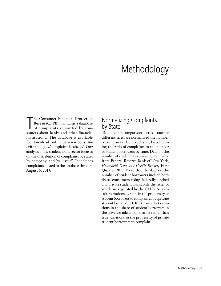## Methodology

The Consumer Financial Protection<br>Bureau (CFPB) maintains a database<br>of complaints submitted by con-<br>sumers about banks and other financial he Consumer Financial Protection Bureau (CFPB) maintains a database of complaints submitted by coninstitutions. The database is available for download online at www.consumerfinance.gov/complaintdatabase/. Our analysis of the student loans sector focuses on the distribution of complaints by state, by company, and by "issue". It includes complaints posted to the database through August 6, 2013.

#### Normalizing Complaints by State

To allow for comparisons across states of different sizes, we normalized the number of complaints filed in each state by computing the ratio of complaints to the number of student borrowers by state. Data on the number of student borrowers by state were from Federal Reserve Bank of New York, *Household Debt and Credit Report*, First Quarter 2013. Note that the data on the number of student borrowers include both those consumers using federally backed and private student loans, only the latter of which are regulated by the CFPB. As a result, variations by state in the propensity of student borrowers to complain about private student loans to the CFPB may reflect variations in the share of student borrowers in the private student loan market rather than true variations in the propensity of private student borrowers to complain.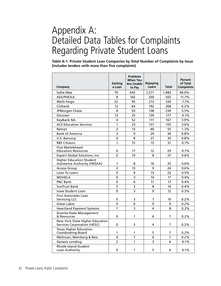## Appendix A: Detailed Data Tables for Complaints Regarding Private Student Loans

**Table A-1. Private Student Loan Companies by Total Number of Complaints by Issue (includes lenders with more than five complaints)**

| Company                                                               | Getting<br>a Loan | <b>Problems</b><br><b>When You</b><br><b>Are Unable</b><br>to Pay | <b>Repaying</b><br>Loans | <b>Total</b>    | <b>Percent</b><br>of Total<br><b>Complaints</b> |
|-----------------------------------------------------------------------|-------------------|-------------------------------------------------------------------|--------------------------|-----------------|-------------------------------------------------|
| Sallie Mae                                                            | 70                | 642                                                               | 1,271                    | 1,983           | 46.0%                                           |
| AES/PHEAA                                                             | 8                 | 165                                                               | 330                      | 503             | 11.7%                                           |
| Wells Fargo                                                           | 22                | 95                                                                | 213                      | 330             | 7.7%                                            |
| Citibank                                                              | 12                | 64                                                                | 192                      | 268             | 6.2%                                            |
| JPMorgan Chase                                                        | 8                 | 93                                                                | 138                      | 239             | 5.5%                                            |
| <b>Discover</b>                                                       | 13                | 25                                                                | 139                      | 177             | 4.1%                                            |
| <b>KeyBank NA</b>                                                     | 4                 | 52                                                                | 111                      | 167             | 3.9%                                            |
| <b>ACS Education Services</b>                                         | 1                 | 23                                                                | 131                      | 155             | 3.6%                                            |
| Nelnet                                                                | $\overline{2}$    | 13                                                                | 40                       | 55              | 1.3%                                            |
| <b>Bank of America</b>                                                | 3                 | 9                                                                 | 24                       | 36              | 0.8%                                            |
| U.S. Bancorp                                                          | 0                 | 8                                                                 | 27                       | 35              | 0.8%                                            |
| <b>RBS Citizens</b>                                                   | 1                 | 15                                                                | 15                       | 31              | 0.7%                                            |
| <b>First Marblehead</b><br><b>Education Resources</b>                 | 0                 | 17                                                                | 12                       | 29              | 0.7%                                            |
| Expert Global Solutions, Inc.                                         | $\Omega$          | 19                                                                | 8                        | 27              | 0.6%                                            |
| <b>Higher Education Student</b><br>Assistance Authority (HESAA)       | 1                 | 8                                                                 | 16                       | 25              | $0.6\%$                                         |
| <b>Access Group</b>                                                   | $\overline{2}$    | 13                                                                | 9                        | 24              | 0.6%                                            |
| Loan To Learn                                                         | $\mathbf 0$       | 9                                                                 | 13                       | 22              | 0.5%                                            |
| <b>MOHELA</b>                                                         | $\Omega$          | 3                                                                 | 14                       | 17              | 0.4%                                            |
| <b>PNC Bank</b>                                                       | 0                 | 6                                                                 | 11                       | 17              | 0.4%                                            |
| <b>SunTrust Bank</b>                                                  | 5                 | 3                                                                 | 8                        | 16              | 0.4%                                            |
| <b>Iowa Student Loan</b>                                              | 0                 | 3                                                                 | 9                        | 12 <sup>2</sup> | 0.3%                                            |
| <b>First Associates Loan</b><br><b>Servicing LLC</b>                  | 0                 | 3                                                                 | 7                        | 10              | 0.2%                                            |
| <b>Great Lakes</b>                                                    | $\Omega$          | $\mathbf 0$                                                       | 9                        | 9               | 0.2%                                            |
| <b>Heartland Payment Systems</b>                                      | $\mathbf{1}$      | 3                                                                 | 4                        | 8               | 0.2%                                            |
| <b>Granite State Management</b><br>& Resources                        | 0                 | 1                                                                 | 6                        | 7               | 0.2%                                            |
| New York State Higher Education<br><b>Services Corporation (HESC)</b> | 0                 | 3                                                                 | 4                        | 7               | 0.2%                                            |
| <b>Texas Higher Education</b><br><b>Coordinating Board</b>            | 1                 | 1                                                                 | 5                        | 7               | 0.2%                                            |
| Weltman, Weinberg & Reis                                              | 0                 | 7                                                                 | $\mathbf 0$              | $\overline{7}$  | 0.2%                                            |
| <b>Genesis Lending</b>                                                | $\overline{2}$    | 1                                                                 | 3                        | 6               | 0.1%                                            |
| <b>Rhode Island Student</b><br>Loan Authority                         | 0                 | 1                                                                 | 5                        | 6               | 0.1%                                            |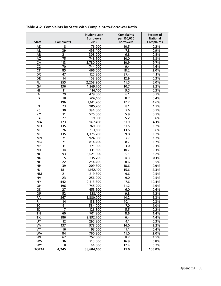| <b>State</b>    | <b>Complaints</b> | <b>Student Loan</b><br><b>Borrowers</b><br>2012 | <b>Complaints</b><br>per 100,000<br><b>Borrowers</b> | Percent of<br><b>National</b><br><b>Complaints</b> |  |
|-----------------|-------------------|-------------------------------------------------|------------------------------------------------------|----------------------------------------------------|--|
| AK              | 8                 | 76,200                                          | 10.5                                                 |                                                    |  |
| AL              | $\overline{39}$   | 498,400                                         | 7.8                                                  | 0.2%                                               |  |
| AR              | 21                | 308,200                                         | 6.8                                                  | 0.9%<br>0.5%                                       |  |
| AZ              | 75                | 748,600                                         | 10.0                                                 | 1.8%                                               |  |
| CA              | 413               |                                                 | 10.9                                                 | 9.7%                                               |  |
|                 |                   | 3,780,900                                       |                                                      | 1.6%                                               |  |
| CO<br><b>CT</b> | 70<br>85          | 744,200                                         | 9.4<br>18.2                                          | 2.0%                                               |  |
| $\overline{DC}$ |                   | 466,600                                         |                                                      |                                                    |  |
| DE              | 47<br>14          | 125,800                                         | 37.4                                                 | 1.1%                                               |  |
|                 | 255               | 108,300                                         | 12.9                                                 | 0.3%                                               |  |
| FL<br>GA        | 136               | 2,208,900                                       | 11.5<br>10.7                                         | 6.0%                                               |  |
|                 |                   | 1,269,700                                       |                                                      | 3.2%                                               |  |
| HI              | 11<br>29          | 116,100<br>479,300                              | 9.5<br>6.1                                           | 0.3%<br>0.7%                                       |  |
| IA              | 18                |                                                 |                                                      |                                                    |  |
| ID              |                   | 206,100                                         | 8.7                                                  | 0.4%                                               |  |
| IL              | 196               | 1,611,700                                       | 12.2                                                 | 4.6%                                               |  |
| IN              | 73                | 905,700                                         | 8.1                                                  | 1.7%                                               |  |
| KS              | 30                | 394,800                                         | 7.6                                                  | 0.7%                                               |  |
| KY              | 31                | 526,000                                         | 5.9<br>5.2                                           | 0.7%                                               |  |
| LA              | 27                | 519,600                                         |                                                      | 0.6%                                               |  |
| <b>MA</b>       | 173               | 967,400                                         | 17.9                                                 | 4.1%                                               |  |
| <b>MD</b>       | 135               | 769,900                                         | 17.5                                                 | 3.2%                                               |  |
| ME              | 26                | 191,100                                         | 13.6                                                 | 0.6%                                               |  |
| MI              | 135               | 1,375,200                                       | 9.8                                                  | 3.2%                                               |  |
| MN              | 71                | 924,600                                         | 7.7                                                  | 1.7%                                               |  |
| MO              | 71                | 814,400                                         | 8.7                                                  | 1.7%                                               |  |
| <b>MS</b>       | 11                | 371,000                                         | 3.0                                                  | 0.3%                                               |  |
| MT              | 14                | 131,300                                         | 10.7                                                 | 0.3%                                               |  |
| <b>NC</b>       | 93                | 1,021,900                                       | 9.1                                                  | 2.2%                                               |  |
| <b>ND</b>       | 5                 | 115,700                                         | 4.3                                                  | 0.1%                                               |  |
| <b>NE</b>       | 22                | 254,400                                         | 8.6                                                  | 0.5%                                               |  |
| <b>NH</b>       | 39                | 209,800                                         | 18.6                                                 | 0.9%                                               |  |
| <b>NJ</b>       | 181               | 1,162,100                                       | 15.6                                                 | 4.3%                                               |  |
| ΝM              | 21                | 219,800                                         | 9.6                                                  | 0.5%                                               |  |
| <b>NV</b>       | 23                | 256,200                                         | 9.0                                                  | 0.5%                                               |  |
| <b>NY</b>       | 442               | 2,513,800                                       | 17.6                                                 | 10.4%                                              |  |
| OH              | 196               | 1,745,900                                       | 11.2                                                 | 4.6%                                               |  |
| OK              | 27                | 453,600                                         | 6.0                                                  | 0.6%                                               |  |
| OR              | $\overline{52}$   | 528,100                                         | 9.8                                                  | 1.2%                                               |  |
| PA              | 267               | 1,880,700                                       | 14.2                                                 | 6.3%                                               |  |
| RI              | 14                | 138,600                                         | 10.1                                                 | 0.3%                                               |  |
| SC              | 41                | 584,000                                         | 7.0                                                  | 1.0%                                               |  |
| SD              | 7                 | 126,800                                         | 5.5                                                  | 0.2%                                               |  |
| TN              | 60                | 701,200                                         | 8.6                                                  | 1.4%                                               |  |
| <b>TX</b>       | 186               | 2,892,700                                       | 6.4                                                  | 4.4%                                               |  |
| UT              | 12                | 295,800                                         | 4.1                                                  | 0.3%                                               |  |
| VA              | 137               | 978,500                                         | 14.0                                                 | 3.2%                                               |  |
| VT              | 16                | 93,600                                          | 17.1                                                 | 0.4%                                               |  |
| <b>WA</b>       | 84                | 760,800                                         | 11.0                                                 | 2.0%                                               |  |
| WI              | 62                | 752,500                                         | 8.2                                                  | 1.5%                                               |  |
| WV              | 36                | 213,300                                         | 16.9                                                 | 0.8%                                               |  |
| <b>WY</b>       | 8                 | 64,300                                          | 12.4                                                 | 0.2%                                               |  |
| <b>TOTAL</b>    | 4,245             | 38,604,100                                      | 11.0                                                 | 100.0%                                             |  |

**Table A-2. Complaints by State with Complaint-to-Borrower Ratio**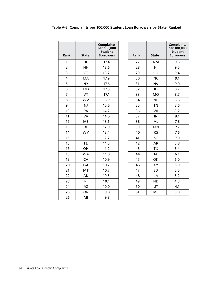| <b>Rank</b>    | <b>State</b>   | <b>Complaints</b><br>per 100,000<br><b>Student</b><br><b>Borrowers</b> |
|----------------|----------------|------------------------------------------------------------------------|
| 1              | DC             | 37.4                                                                   |
| $\overline{2}$ | <b>NH</b>      | 18.6                                                                   |
| 3              | <b>CT</b>      | 18.2                                                                   |
| 4              | MA             | 17.9                                                                   |
| 5              | <b>NY</b>      | 17.6                                                                   |
| 6              | <b>MD</b>      | 17.5                                                                   |
| 7              | VT             | 17.1                                                                   |
| 8              | WV             | 16.9                                                                   |
| 9              | NJ             | 15.6                                                                   |
| 10             | PA             | 14.2                                                                   |
| 11             | VA             | 14.0                                                                   |
| 12             | ME             | 13.6                                                                   |
| 13             | DE             | 12.9                                                                   |
| 14             | <b>WY</b>      | 12.4                                                                   |
| 15             | IL             | 12.2                                                                   |
| 16             | <b>FL</b>      | 11.5                                                                   |
| 17             | OH             | 11.2                                                                   |
| 18             | <b>WA</b>      | 11.0                                                                   |
| 19             | CA             | 10.9                                                                   |
| 20             | GA             | 10.7                                                                   |
| 21             | MT             | 10.7                                                                   |
| 22             | AK             | 10.5                                                                   |
| 23             | R <sub>l</sub> | 10.1                                                                   |
| 24             | AZ             | 10.0                                                                   |
| 25             | OR             | 9.8                                                                    |
| 26             | ΜI             | 9.8                                                                    |

|  |  | Table A-3. Complaints per 100,000 Student Loan Borrowers by State, Ranked |
|--|--|---------------------------------------------------------------------------|
|--|--|---------------------------------------------------------------------------|

| Rank | <b>State</b> | <b>Complaints</b><br>per 100,000<br><b>Student</b><br><b>Borrowers</b> |  |
|------|--------------|------------------------------------------------------------------------|--|
| 27   | <b>NM</b>    | 9.6                                                                    |  |
| 28   | HI           | 9.5                                                                    |  |
| 29   | CO           | 9.4                                                                    |  |
| 30   | <b>NC</b>    | 9.1                                                                    |  |
| 31   | NV           | 9.0                                                                    |  |
| 32   | ID           | 8.7                                                                    |  |
| 33   | <b>MO</b>    | 8.7                                                                    |  |
| 34   | <b>NE</b>    | 8.6                                                                    |  |
| 35   | <b>TN</b>    | 8.6                                                                    |  |
| 36   | WI           | 8.2                                                                    |  |
| 37   | IN           | 8.1                                                                    |  |
| 38   | AL           | 7.8                                                                    |  |
| 39   | MN           | 7.7                                                                    |  |
| 40   | <b>KS</b>    | 7.6                                                                    |  |
| 41   | SC           | 7.0                                                                    |  |
| 42   | AR           | 6.8                                                                    |  |
| 43   | <b>TX</b>    | 6.4                                                                    |  |
| 44   | IA           | 6.1                                                                    |  |
| 45   | OK           | 6.0                                                                    |  |
| 46   | KY           | 5.9                                                                    |  |
| 47   | <b>SD</b>    | 5.5                                                                    |  |
| 48   | LA           | 5.2                                                                    |  |
| 49   | ΝD           | 4.3                                                                    |  |
| 50   | UT           | 4.1                                                                    |  |
| 51   | <b>MS</b>    | 3.0                                                                    |  |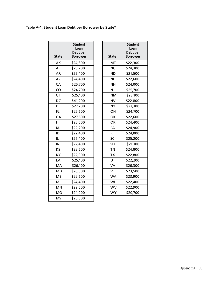#### Table A-4. Student Loan Debt per Borrower by State<sup>46</sup>

|              | <b>Student</b><br>Loan<br>Debt per |  |
|--------------|------------------------------------|--|
| <b>State</b> | Borrower                           |  |
| АK           | \$24,800                           |  |
| AL           | \$25,200                           |  |
| AR           | \$22,400                           |  |
| AZ           | \$24,400                           |  |
| CA           | \$25,700                           |  |
| CO           | \$24,700                           |  |
| CT           | \$25,100                           |  |
| DC           | \$41,200                           |  |
| DE           | \$27,200                           |  |
| FL           | \$25,600                           |  |
| GA           | \$27,600                           |  |
| HI           | \$23,500                           |  |
| ΙA           | \$22,200                           |  |
| ID           | \$22,400                           |  |
| IL           | \$26,400                           |  |
| IN           | \$22,400                           |  |
| KS           | \$23,600                           |  |
| ΚY           | \$22,300                           |  |
| LA           | \$25,100                           |  |
| МA           | \$26,100                           |  |
| <b>MD</b>    | \$28,300                           |  |
| МE           | \$22,600                           |  |
| MI           | \$24,400                           |  |
| MN           | \$22,500                           |  |
| <b>MO</b>    | \$24,000                           |  |
| MS           | \$25,000                           |  |
|              |                                    |  |

|              | <b>Student</b>  |
|--------------|-----------------|
|              | Loan            |
|              | Debt per        |
| <b>State</b> | <b>Borrower</b> |
| мт           | \$22,300        |
| NC           | \$24,300        |
| ΝD           | \$21,500        |
| ΝE           | \$22,600        |
| NΗ           | \$24,000        |
| NJ           | \$25,700        |
| <b>NM</b>    | \$23,100        |
| N٧           | \$22,800        |
| NY           | \$27,300        |
| OH           | \$24,700        |
| ОΚ           | \$22,600        |
| <b>OR</b>    | \$24,400        |
| PA           | \$24,900        |
| RI           | \$24,000        |
| SC           | \$25,200        |
| <b>SD</b>    | \$21,100        |
| TN           | \$24,800        |
| <b>TX</b>    | \$22,800        |
| UT           | \$22,200        |
| VA           | \$26,300        |
| VT           | \$23,500        |
| <b>WA</b>    | \$23,900        |
| WI           | \$22,400        |
| <b>WV</b>    | \$22,900        |
| WY           | \$20,700        |
|              |                 |

Appendix A 35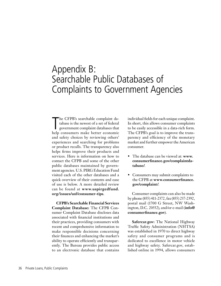## Appendix B: Searchable Public Databases of Complaints to Government Agencies

The CFPB's searchable complaint da-<br>tabase is the newest of a set of federal<br>government complaint databases that<br>help consumers make better economic he CFPB's searchable complaint database is the newest of a set of federal government complaint databases that and safety choices by reviewing others' experiences and searching for problems or product recalls. The transparency also helps firms improve their products and services. Here is information on how to contact the CFPB and some of the other public databases maintained by government agencies. U.S. PIRG Education Fund visited each of the other databases and a quick overview of their contents and ease of use is below. A more detailed review can be found at **www.uspirgedfund. org/issues/usf/consumer-tips**.

**CFPB's Searchable Financial Services Complaint Database:** The CFPB Consumer Complaint Database discloses data associated with financial institutions and their practices, providing consumers with recent and comprehensive information to make responsible decisions concerning their finances and enhancing the market's ability to operate efficiently and transparently. The Bureau provides public access to an electronic database that contains

individual fields for each unique complaint. In short, this allows consumer complaints to be easily accessible in a data-rich form. The CFPB's goal is to improve the transparency and efficiency of the monetary market and further empower the American consumer.

- The database can be viewed at: **www. consumerfinance.gov/complaintdatabase/**.
- Consumers may submit complaints to the CFPB at **www.consumerfinance. gov/complaint/**.

Consumer complaints can also be made by phone (855) 411-2372, fax (855) 237-2392, postal mail (1700 G Street, NW Washington, D.C. 20552), and/or e-mail (**info@ consumerfinance.gov**).

**Safercar.gov:** The National Highway Traffic Safety Administration (NHTSA) was established in 1970 to direct highway safety and consumer programs and is dedicated to excellence in motor vehicle and highway safety. Safercar.gov, established online in 1994, allows consumers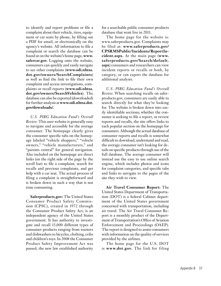to identify and report problems or file a complaint about their vehicle, tires, equipment or car seats by phone, by filling out a PDF for email, or electronically on the agency's website. All information to file a complaint or search the database can be found at on the website's home page, **www. safercar.gov.** Logging onto the website, consumers can quickly and easily navigate to see other complaints (**www.odi.nhtsa. dot.gov/owners/SearchComplaints**) as well as find the link to file their own complaint and access investigations, complaints or recall reports (**www.odi.nhtsa. dot.gov/owners/SearchVehicles**). The database can also be exported (downloaded) for further analysis at **www.odi.nhtsa.dot. gov/downloads/.**

*U.S. PIRG Education Fund's Overall Review:* This user website is generally easy to navigate and accessible for the average consumer. The homepage clearly gives the consumer specific tabs on the homepage labeled "vehicle shoppers," "vehicle owners," "vehicle manufacturers," and "parents central" for general navigation. Also included on the homepage are direct links (on the right side of the page by the scroll bar) to file a complaint, search for recalls and previous complaints, and get help with a car seat. The actual process of filing a complaint is straightforward and is broken down in such a way that is not time consuming.

**Saferproducts.gov:** The United States Consumer Product Safety Commission (CPSC), created in 1972 through the Consumer Product Safety Act, is an independent agency of the United States government. It has authority to investigate and recall 15,000 different types of consumer products ranging from toasters and dishwashers to bicycles, clothing, cribs and children's toys. In 2008 the Consumer Product Safety Improvement Act was passed; the new law established authority for a searchable public consumer products database that went live in 2011.

The home page for the website is: www.saferproducts.gov. Complaints may be filed at: **www.saferproducts.gov/ CPSRMSPublic/Incidents/ReportIncident.aspx.** At the main page (**www. saferproducts.gov/Search/default. aspx**) consumers and researchers can view incident reports or recalls or both, by category, or can export the database for additional analysis.

*U.S. PIRG Education Fund's Overall Review:* When searching recalls on saferproducts.gov, consumers are easily able to search directly for what they're looking for. The website is broken down into easily identifiable sections; whether the consumer is seeking to file a report, or review reports and recalls, the site offers links to each popular section on the homepage for consumers. Although the actual database of consumer reports and recalls is somewhat difficult to download, understand and read, the average consumer isn't looking for details on specific products through use of the full database. The average consumer will instead use the easy to use online search engine, which includes photos and icons for complaint categories, and specific tabs and links to navigate to the pages of the site they wish to view.

**Air Travel Consumer Report:** The United States Department of Transportation (DOT) is a federal Cabinet department of the United States government concerned with transportation, including air travel. The Air Travel Consumer Report is a monthly product of the Department of Transportation's Office of Aviation Enforcement and Proceedings (OAEP). The report is designed to assist consumers with information on the quality of services provided by the airlines.

The home page for the U.S. DOT is **www.dot.gov.** The link for filing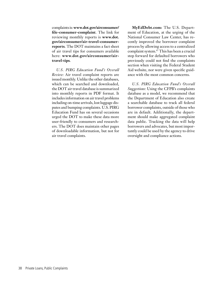complaints is: **www.dot.gov/airconsumer/ file-consumer-complaint**. The link for reviewing monthly reports is **www.dot. gov/airconsumer/air-travel-consumerreports**. The DOT maintains a fact sheet of air travel tips for consumers available here: **www.dot.gov/airconsumer/airtravel-tips**.

*U.S. PIRG Education Fund's Overall Review:* Air travel complaint reports are issued monthly. Unlike the other databases, which can be searched and downloaded. the DOT air travel database is summarized into monthly reports in PDF format. It includes information on air travel problems including on-time arrivals, lost luggage disputes and bumping complaints. U.S. PIRG Education Fund has on several occasions urged the DOT to make these data more user-friendly to consumers and researchers. The DOT does maintain other pages of downloadable information, but not for air travel complaints.

**MyEdDebt.com:** The U.S. Department of Education, at the urging of the National Consumer Law Center, has recently improved the borrower complaint process by allowing access to a centralized complaint system.47 This has been a crucial step forward for defaulted borrowers who previously could not find the complaints section when visiting the Federal Student Aid website, nor were given specific guidance with the most common concerns.

*U.S. PIRG Education Fund's Overall Suggestions:* Using the CFPB's complaints database as a model, we recommend that the Department of Education also create a searchable database to track all federal borrower complaints, outside of those who are in default. Additionally, the department should make aggregated complaint data public. Tracking the data will help borrowers and advocates, but most importantly could be used by the agency to drive oversight and compliance actions.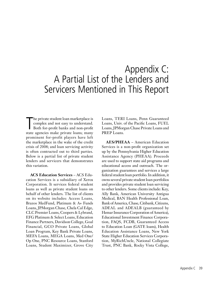## Appendix C: A Partial List of the Lenders and Servicers Mentioned in This Report

The private student loan marketplace is<br>complex and not easy to understand.<br>Both for-profit banks and non-profit<br>state agencies make private loans; many he private student loan marketplace is complex and not easy to understand. Both for-profit banks and non-profit prominent for-profit players have left the marketplace in the wake of the credit crisis of 2008; and loan servicing activity is often contracted out to third parties. Below is a partial list of private student lenders and servicers that demonstrates this variation.

**ACS Education Services** – ACS Education Services is a subsidiary of Xerox Corporation. It services federal student loans as well as private student loans on behalf of other lenders. The list of clients on its website includes: Access Loans, Brazos MedFund, Platinum & A+ Funds Loans, JPMorgan Chase, Chela Cal Edge, CLC Premier Loans, Coopers & Lybrand, EFG Platinum & Select Loans, Education Finance Partners, Davidson College, Goal Financial, GCO Private Loans, Global Loan Program, Key Bank Private Loans, MEFA Loans, MEGA Loans, Med One/ Op One, PNC Resource Loans, Stanford Loans, Student Maximizer, Grove City Loans, TERI Loans, Penn Guaranteed Loans, Univ. of the Pacific Loans, FUEL Loans, JPMorgan Chase Private Loans and PREP Loans.

**AES/PHEAA** – American Education Services is a non-profit organization set up by the Pennsylvania Higher Education Assistance Agency (PHEAA). Proceeds are used to support state aid programs and educational access and outreach. The organization guarantees and services a large federal student loan portfolio. In addition, it owns several private student loan portfolios and provides private student loan servicing to other lenders. Some clients include: Key, Ally Bank, American University Antigua Medical, BAN Health Professional Loan, Bank of America, Chase, Citibank, Citizens, ADEAL and ADEALB (guaranteed by Hemar Insurance Corporation of America), Educational Investment Finance Corporation, FAQS, FCDB, Guaranteed Access to Education Loan (GATE loans), Health Education Assistance Loans, New York State Higher Education Services Corporation, MyRichUncle, National Collegiate Trust, PNC Bank, Rocky Vista College,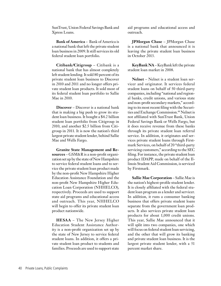SunTrust, Union Federal Savings Bank and Xpress Loans.

**Bank of America** – Bank of America is a national bank that left the private student loan business in 2009. It still services its old federal student loan portfolio.

**Citibank/Citigroup** – Citibank is a national bank that has almost completely left student lending. It sold 80 percent of its private student loan business to Discover in 2010 and 2011 and no longer offers private student loan products. It sold most of its federal student loan portfolio to Sallie Mae in 2010.

**Discover** – Discover is a national bank that is making a big push to grow its student loan business. It bought a \$4.2 billion student loan portfolio from Citigroup in 2010, and another \$2.5 billion from Citigroup in 2011. It is now the nation's third largest private student lender, behind Sallie Mae and Wells Fargo.

**Granite State Management and Resources** – GSM&R is a non-profit organization set up by the state of New Hampshire to service federal student loans and to service the private student loan product made by the non-profit New Hampshire Higher Education Assistance Foundation and the non-profit New Hampshire Higher Education Loan Corporation (NHHELCO), respectively. Proceeds are used to support state aid programs and educational access and outreach. This year, NHHELCO will begin to offer its private student loan product nationwide.

**HESAA** – The New Jersey Higher Education Student Assistance Authority is a non-profit organization set up by the state of New Jersey to service federal student loans. In addition, it offers a private student loan product to students and families. Proceeds are used to support state

aid programs and educational access and outreach.

**JPMorgan Chase** – JPMorgan Chase is a national bank that announced it is leaving the private student loan business in October 2013.

**KeyBank NA** – KeyBank left the private student loan market in 2008.

**Nelnet** – Nelnet is a student loan servicer and originator. It services federal student loans on behalf of 50 third-party companies, including "national and regional banks, credit unions, and various state and non-profit secondary markets," according to its most recent filing with the Securities and Exchange Commission.48 Nelnet is not affiliated with SunTrust Bank, Union Federal Savings Bank or Wells Fargo, but it does receive revenue from these banks through its private student loan referral service. In addition, it originates and services private student loans through Firstmark Services, on behalf of 20 "third-party servicing customers," according to the SEC filing. For instance, the private student loan product IDAPP, made on behalf of the Illinois Student Aid Commission, is serviced by Firstmark.

**Sallie Mae Corporation** – Sallie Mae is the nation's highest-profile student lender. It is closely affiliated with the federal student loan program as a lender and servicer. In addition, it runs a consumer banking business that offers private student loans separate from the government loan products. It also services private student loan products for about 1,000 credit unions. This year, Sallie Mae announced that it will split into two companies, one which will focus on federal student loan servicing, and the other that will grow its banking and private student loan business. It is the largest private student lender, with a 51 percent market share.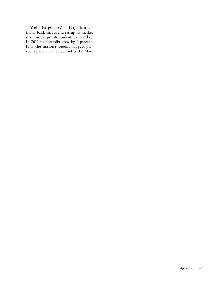**Wells Fargo** – Wells Fargo is a national bank that is increasing its market share in the private student loan market. In 2012 its portfolio grew by 6 percent. It is the nation's second-largest private student lender behind Sallie Mae.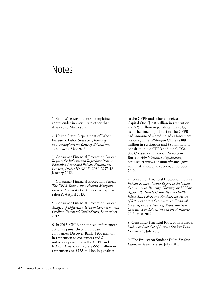### **Notes**

1 Sallie Mae was the most complained about lender in every state other than Alaska and Minnesota.

2 United States Department of Labor, Bureau of Labor Statistics, *Earnings and Unemployment Rates by Educational Attainment*, May 2013.

3 Consumer Financial Protection Bureau, *Request for Information Regarding Private Education Loans and Private Educational Lenders*, *Docket ID CFPB -2011-0037,* 18 January 2012.

4 Consumer Financial Protection Bureau, *The CFPB Takes Action Against Mortgage Insurers to End Kickbacks to Lenders* (press release), 4 April 2013.

5 Consumer Financial Protection Bureau, *Analysis of Differences between Consumer- and Creditor-Purchased Credit Scores*, September 2012.

6 In 2012, CFPB announced enforcement actions against three credit card companies: Discover Bank (\$200 million in restitution to consumers and \$14 million in penalties to the CFPB and FDIC), American Express (\$85 million in restitution and \$27.5 million in penalties

to the CFPB and other agencies) and Capital One (\$140 million in restitution and \$25 million in penalties). In 2013, as of the time of publication, the CFPB had announced a credit card enforcement action against JPMorgan Chase (\$309 million in restitution and \$80 million in penalties to the CFPB and the OCC). See Consumer Financial Protection Bureau, *Administrative Adjudication*, accessed at www.consumerfinance.gov/ administrativeadjudication/, 7 October 2013.

7 Consumer Financial Protection Bureau, *Private Student Loans: Report to the Senate Committee on Banking, Housing, and Urban Affairs, the Senate Committee on Health, Education, Labor, and Pensions, the House of Representatives Committee on Financial Services, and the House of Representatives Committee on Education and the Workforce*, 29 August 2012.

8 Consumer Financial Protection Bureau, *Mid-year Snapshot of Private Student Loan Complaints*, July 2013.

9 The Project on Student Debt, *Student Loans: Facts and Trends*, July 2011.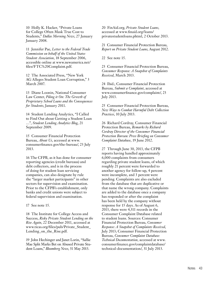10 Holly K. Hacker, "Private Loans for College Often Mask True Cost to Students," *Dallas Morning News*, 27 January January 2008.

11 Jennifer Pae, *Letter to the Federal Trade Commission on behalf of the United States Student Association*, 18 September 2006, accessible online at www.newamerica.net/ files/FTC%20Complaint.pdf.

12 The Associated Press, "New York AG Alleges Student Loan Corruption," 3 March 2007.

13 Diane Loonin, National Consumer Law Center, *Piling it On: The Growth of Proprietary School Loans and the Consequences for Students*, January 2011.

14 Student Lending Analytics, "I Called to Find Out about Getting a Student Loan …", *Student Lending Analytics Blog*, 21 September 2009.

15 Consumer Financial Protection Bureau, *About Us*, accessed at www. consumerfinance.gov/the-bureau/, 23 July 2013.

16 The CFPB, as it has done for consumer reporting agencies (credit bureaus) and debt collectors, and is in the process of doing for student loan servicing companies, can also designate by rule the "larger market participants" in other sectors for supervision and examination. Prior to the CFPB's establishment, only banks and credit unions were subject to federal supervision and examination.

17 See note 15.

18 The Institute for College Access and Success, *Risky Private Student Lending on the Rise Again*, 22 December 2011, accessed at www.ticas.org/files/pub/Private\_Student\_ Lending\_on\_the\_Rise.pdf.

19 John Hechinger and Janet Lorin, "Sallie Mae Split Marks Bet on Abused Private Student Loans," *Bloomberg News*, 31 May 2013.

20 FinAid.org, *Private Student Loans*, accessed at www.finaid.org/loans/ privatestudentloans.phtml, 2 October 2013.

21 Consumer Financial Protection Bureau, *Report on Private Student Loans*, August 2012.

22 See note 15.

23 Consumer Financial Protection Bureau, *Consumer Response: A Snapshot of Complaints Received*, March 2013.

24 Ibid.; Consumer Financial Protection Bureau, *Submit a Complaint*, accessed at www.consumerfinance.gov/complaint/, 23 July 2013.

25 Consumer Financial Protection Bureau, *New Ways to Combat Harmful Debt Collection Practices*, 10 July 2013.

26 Richard Cordray, Consumer Financial Protection Bureau, *Remarks by Richard Cordray Director of the Consumer Financial Protection Bureau: Press Briefing on Consumer Complaint Database*, 19 June 2012.

27 Through June 30, 2013, the CFPB reports having handled approximately 6,000 complaints from consumers regarding private student loans, of which roughly 21 percent were forwarded to another agency for follow-up, 4 percent were incomplete, and 3 percent were pending. Complaints are also excluded from the database that are duplicative or that name the wrong company. Complaints are added to the database once a company has responded or after the complaint has been held by the company without response for 15 days. As of August 6, 2013, there were 4,311 records in the Consumer Complaint Database related to student loans. Sources: Consumer Financial Protection Bureau, *Consumer Response: A Snapshot of Complaints Received*, July 2013; Consumer Financial Protection Bureau, *Consumer Complaint Database: Technical Documentation*, accessed at www. consumerfinance.gov/complaintdatabase/ technical-documentation/, 31 July 2013.